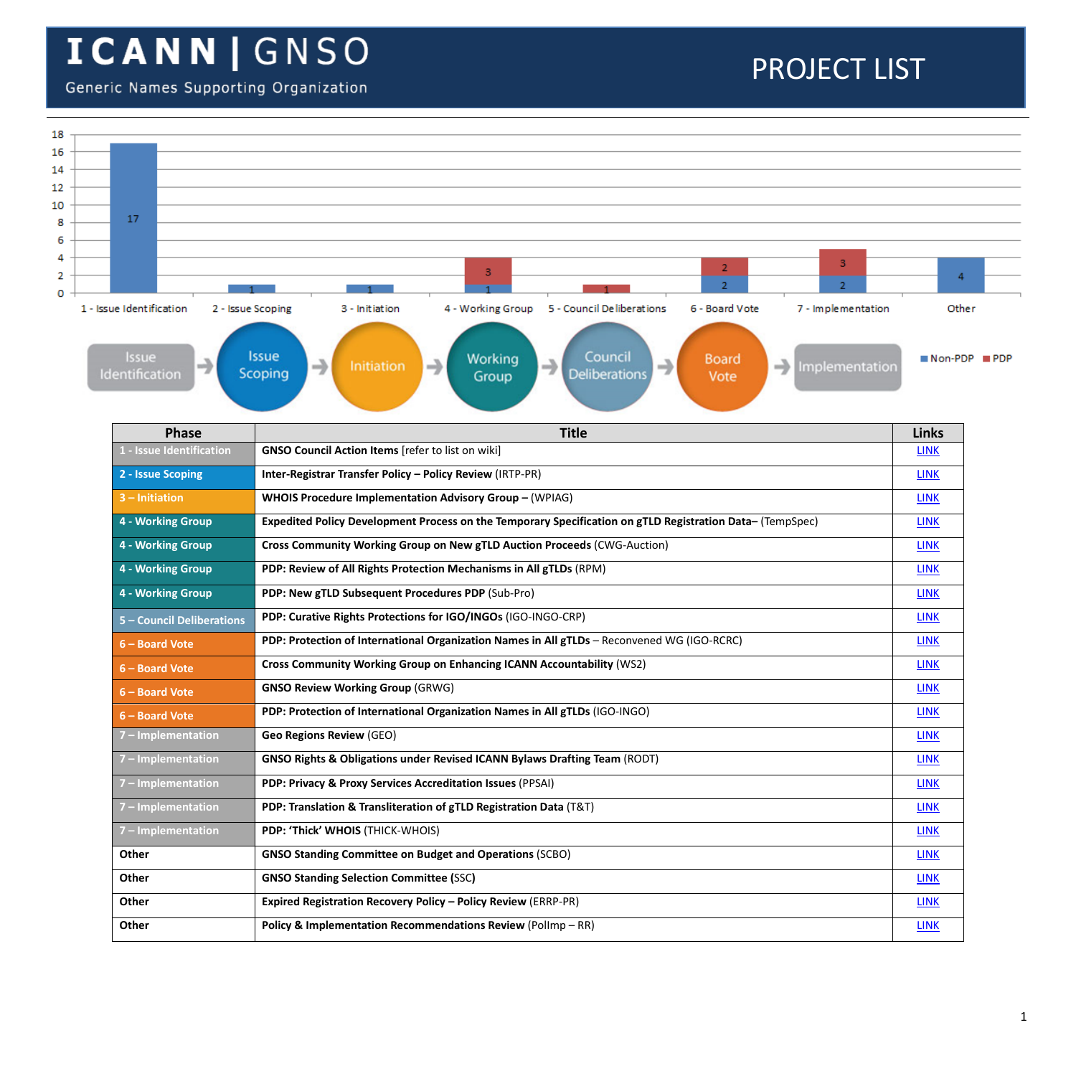#### Generic Names Supporting Organization

| 18      |                                               |                                                                                                                                                                        |              |         |
|---------|-----------------------------------------------|------------------------------------------------------------------------------------------------------------------------------------------------------------------------|--------------|---------|
| 16      |                                               |                                                                                                                                                                        |              |         |
| 14      |                                               |                                                                                                                                                                        |              |         |
| 12      |                                               |                                                                                                                                                                        |              |         |
| 10<br>8 | 17                                            |                                                                                                                                                                        |              |         |
| 6       |                                               |                                                                                                                                                                        |              |         |
| 4       |                                               | з                                                                                                                                                                      |              |         |
| 2       |                                               | $\overline{2}$<br>3                                                                                                                                                    | -4           |         |
| 0       |                                               | $\overline{2}$<br>$\overline{2}$                                                                                                                                       |              |         |
|         | 1 - Issue Identification<br>2 - Issue Scoping | 5 - Council De liberations<br>6 - Board Vote<br>7 - Implementation<br>3 - Initiation<br>4 - Working Group                                                              | Other        |         |
|         | Issue<br>→<br>Identification                  | <b>Issue</b><br>Council<br>Working<br><b>Board</b><br>→<br>→<br>→<br>$\rightarrow$<br>Initiation<br>Implementation<br>Scoping<br><b>Deliberations</b><br>Group<br>Vote | $Mon-PDP$    | III PDP |
|         | Phase                                         | <b>Title</b>                                                                                                                                                           | <b>Links</b> |         |
|         | 1 - Issue Identification                      | <b>GNSO Council Action Items</b> [refer to list on wiki]                                                                                                               | <b>LINK</b>  |         |
|         | 2 - Issue Scoping                             | Inter-Registrar Transfer Policy - Policy Review (IRTP-PR)                                                                                                              | <b>LINK</b>  |         |
|         | $3$ – Initiation                              | WHOIS Procedure Implementation Advisory Group - (WPIAG)                                                                                                                | <b>LINK</b>  |         |
|         | 4 - Working Group                             | Expedited Policy Development Process on the Temporary Specification on gTLD Registration Data- (TempSpec)                                                              | <b>LINK</b>  |         |
|         | 4 - Working Group                             | Cross Community Working Group on New gTLD Auction Proceeds (CWG-Auction)                                                                                               | <b>LINK</b>  |         |
|         | 4 - Working Group                             | PDP: Review of All Rights Protection Mechanisms in All gTLDs (RPM)                                                                                                     | <b>LINK</b>  |         |
|         | 4 - Working Group                             | PDP: New gTLD Subsequent Procedures PDP (Sub-Pro)                                                                                                                      | <b>LINK</b>  |         |
|         | 5 - Council Deliberations                     | PDP: Curative Rights Protections for IGO/INGOs (IGO-INGO-CRP)                                                                                                          | <b>LINK</b>  |         |
|         | 6 - Board Vote                                | PDP: Protection of International Organization Names in All gTLDs - Reconvened WG (IGO-RCRC)                                                                            | <b>LINK</b>  |         |
|         | 6 - Board Vote                                | Cross Community Working Group on Enhancing ICANN Accountability (WS2)                                                                                                  | <b>LINK</b>  |         |
|         | 6 - Board Vote                                | <b>GNSO Review Working Group (GRWG)</b>                                                                                                                                | <b>LINK</b>  |         |
|         | 6 - Board Vote                                | PDP: Protection of International Organization Names in All gTLDs (IGO-INGO)                                                                                            | <b>LINK</b>  |         |
|         | 7 - Implementation                            | <b>Geo Regions Review (GEO)</b>                                                                                                                                        | <b>LINK</b>  |         |
|         | 7 - Implementation                            | GNSO Rights & Obligations under Revised ICANN Bylaws Drafting Team (RODT)                                                                                              | <b>LINK</b>  |         |
|         | 7 - Implementation                            | PDP: Privacy & Proxy Services Accreditation Issues (PPSAI)                                                                                                             | <b>LINK</b>  |         |
|         | 7 – Implementation                            | PDP: Translation & Transliteration of gTLD Registration Data (T&T)                                                                                                     | <b>LINK</b>  |         |
|         | 7 - Implementation                            | PDP: 'Thick' WHOIS (THICK-WHOIS)                                                                                                                                       | <b>LINK</b>  |         |
|         | Other                                         | <b>GNSO Standing Committee on Budget and Operations (SCBO)</b>                                                                                                         | <b>LINK</b>  |         |
|         | Other                                         | <b>GNSO Standing Selection Committee (SSC)</b>                                                                                                                         | <b>LINK</b>  |         |
|         | Other                                         | <b>Expired Registration Recovery Policy - Policy Review (ERRP-PR)</b>                                                                                                  | <b>LINK</b>  |         |
|         | Other                                         | Policy & Implementation Recommendations Review (PolImp - RR)                                                                                                           | <b>LINK</b>  |         |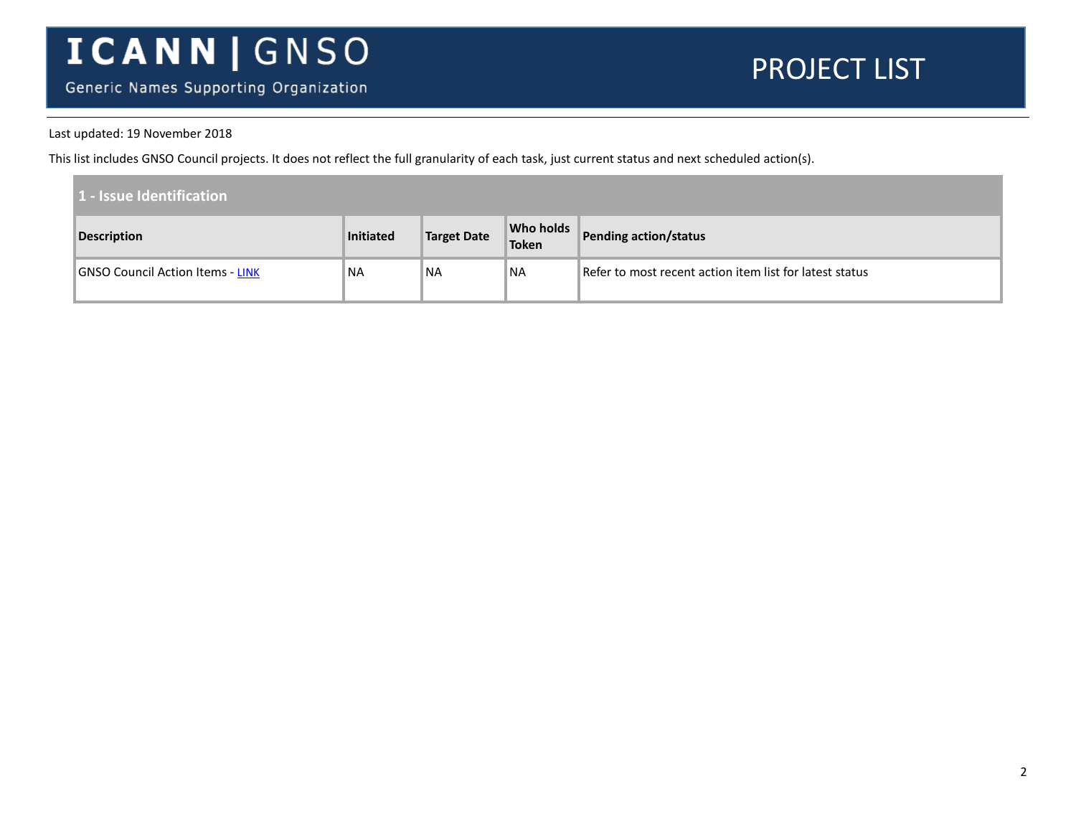Generic Names Supporting Organization

#### PROJECT LIST

#### Last updated: 19 November 2018

This list includes GNSO Council projects. It does not reflect the full granularity of each task, just current status and next scheduled action(s).

| 1 - Issue Identification         |           |                    |                           |                                                         |
|----------------------------------|-----------|--------------------|---------------------------|---------------------------------------------------------|
| Description                      | Initiated | <b>Target Date</b> | <b>Who holds</b><br>Token | Pending action/status                                   |
| GNSO Council Action Items - LINK | <b>NA</b> | NA                 | ™NA                       | Refer to most recent action item list for latest status |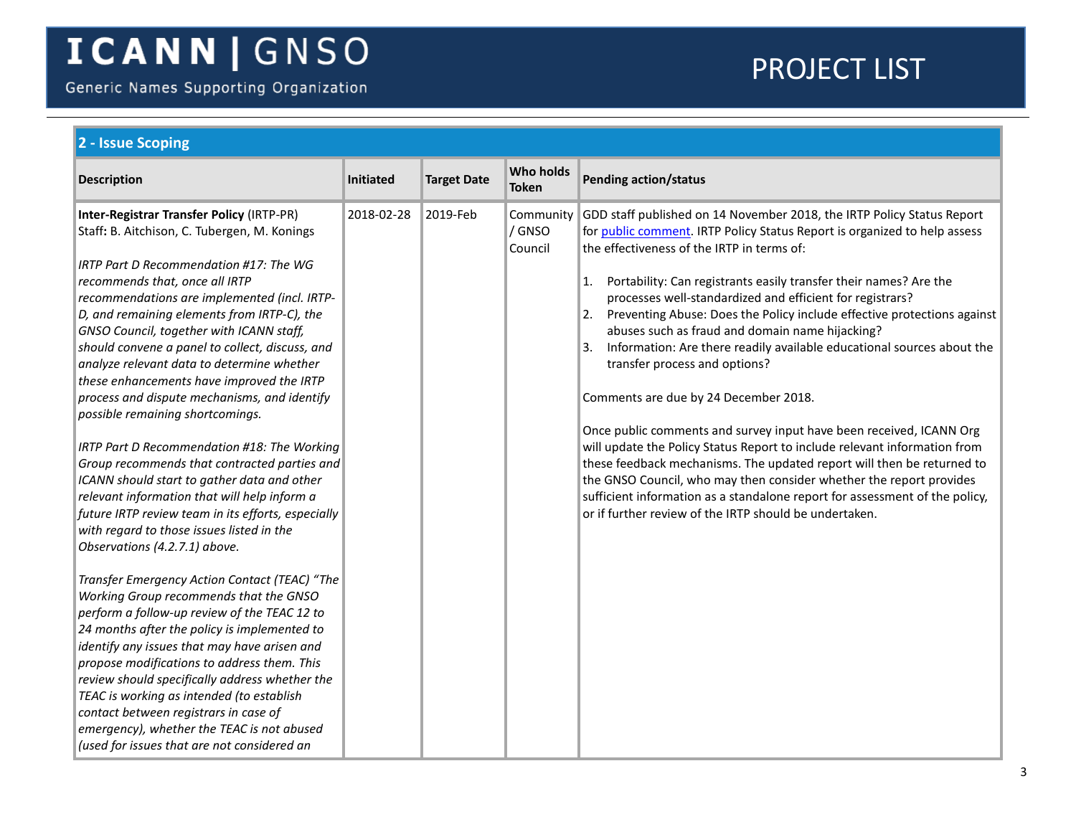Generic Names Supporting Organization

<span id="page-2-0"></span>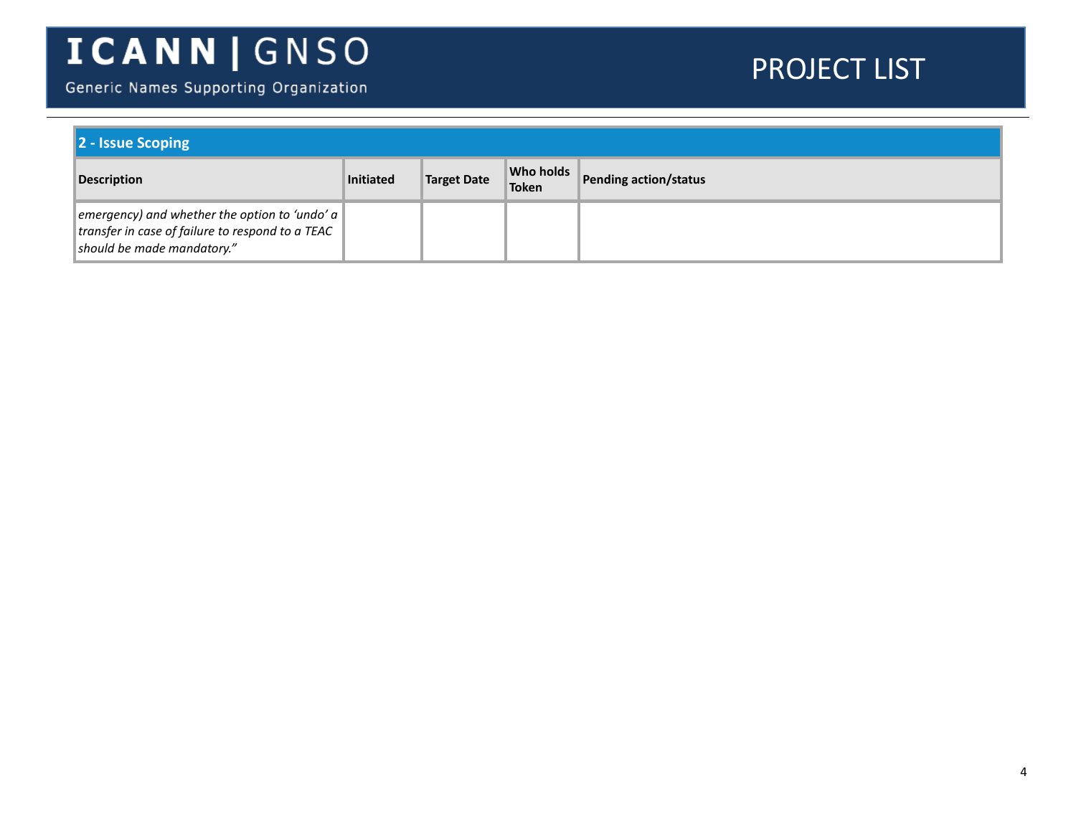Generic Names Supporting Organization

| 2 - Issue Scoping                                                                                                                      |                  |                    |                    |                       |  |
|----------------------------------------------------------------------------------------------------------------------------------------|------------------|--------------------|--------------------|-----------------------|--|
| <b>Description</b>                                                                                                                     | <b>Initiated</b> | <b>Target Date</b> | Who holds<br>Token | Pending action/status |  |
| emergency) and whether the option to 'undo' $a \mid$<br>transfer in case of failure to respond to a TEAC<br>should be made mandatory." |                  |                    |                    |                       |  |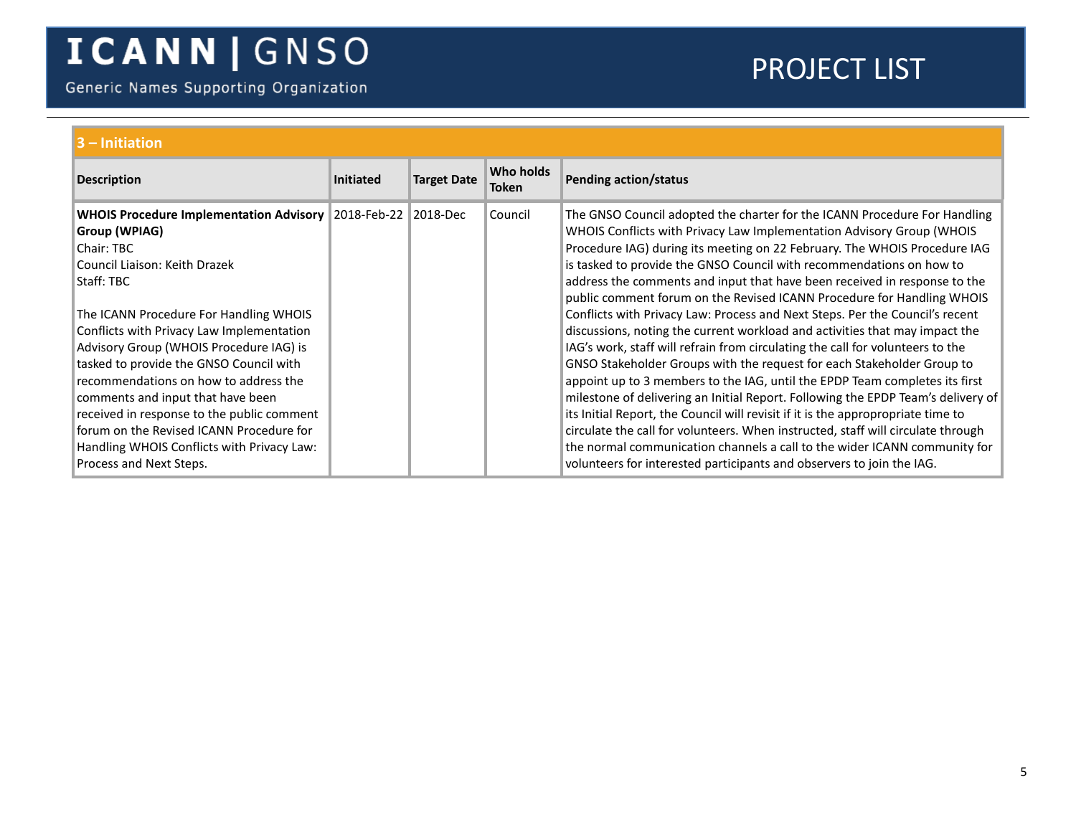Generic Names Supporting Organization

<span id="page-4-1"></span><span id="page-4-0"></span>

| $3 -$ Initiation                                                                                                                                                                                                                                                                                                                                                                                                                                                                                                                                           |                  |                    |                           |                                                                                                                                                                                                                                                                                                                                                                                                                                                                                                                                                                                                                                                                                                                                                                                                                                                                                                                                                                                                                                                                                                                                                                                                                                                                                            |  |  |  |
|------------------------------------------------------------------------------------------------------------------------------------------------------------------------------------------------------------------------------------------------------------------------------------------------------------------------------------------------------------------------------------------------------------------------------------------------------------------------------------------------------------------------------------------------------------|------------------|--------------------|---------------------------|--------------------------------------------------------------------------------------------------------------------------------------------------------------------------------------------------------------------------------------------------------------------------------------------------------------------------------------------------------------------------------------------------------------------------------------------------------------------------------------------------------------------------------------------------------------------------------------------------------------------------------------------------------------------------------------------------------------------------------------------------------------------------------------------------------------------------------------------------------------------------------------------------------------------------------------------------------------------------------------------------------------------------------------------------------------------------------------------------------------------------------------------------------------------------------------------------------------------------------------------------------------------------------------------|--|--|--|
| <b>Description</b>                                                                                                                                                                                                                                                                                                                                                                                                                                                                                                                                         | <b>Initiated</b> | <b>Target Date</b> | Who holds<br><b>Token</b> | <b>Pending action/status</b>                                                                                                                                                                                                                                                                                                                                                                                                                                                                                                                                                                                                                                                                                                                                                                                                                                                                                                                                                                                                                                                                                                                                                                                                                                                               |  |  |  |
| <b>WHOIS Procedure Implementation Advisory</b><br>Group (WPIAG)<br>Chair: TBC<br>Council Liaison: Keith Drazek<br>Staff: TBC<br>The ICANN Procedure For Handling WHOIS<br>Conflicts with Privacy Law Implementation<br>Advisory Group (WHOIS Procedure IAG) is<br>tasked to provide the GNSO Council with<br>recommendations on how to address the<br>comments and input that have been<br>received in response to the public comment<br>forum on the Revised ICANN Procedure for<br>Handling WHOIS Conflicts with Privacy Law:<br>Process and Next Steps. | 2018-Feb-22      | 2018-Dec           | Council                   | The GNSO Council adopted the charter for the ICANN Procedure For Handling<br>WHOIS Conflicts with Privacy Law Implementation Advisory Group (WHOIS<br>Procedure IAG) during its meeting on 22 February. The WHOIS Procedure IAG<br>is tasked to provide the GNSO Council with recommendations on how to<br>address the comments and input that have been received in response to the<br>public comment forum on the Revised ICANN Procedure for Handling WHOIS<br>Conflicts with Privacy Law: Process and Next Steps. Per the Council's recent<br>discussions, noting the current workload and activities that may impact the<br>IAG's work, staff will refrain from circulating the call for volunteers to the<br>GNSO Stakeholder Groups with the request for each Stakeholder Group to<br>appoint up to 3 members to the IAG, until the EPDP Team completes its first<br>milestone of delivering an Initial Report. Following the EPDP Team's delivery of<br>its Initial Report, the Council will revisit if it is the appropropriate time to<br>circulate the call for volunteers. When instructed, staff will circulate through<br>the normal communication channels a call to the wider ICANN community for<br>volunteers for interested participants and observers to join the IAG. |  |  |  |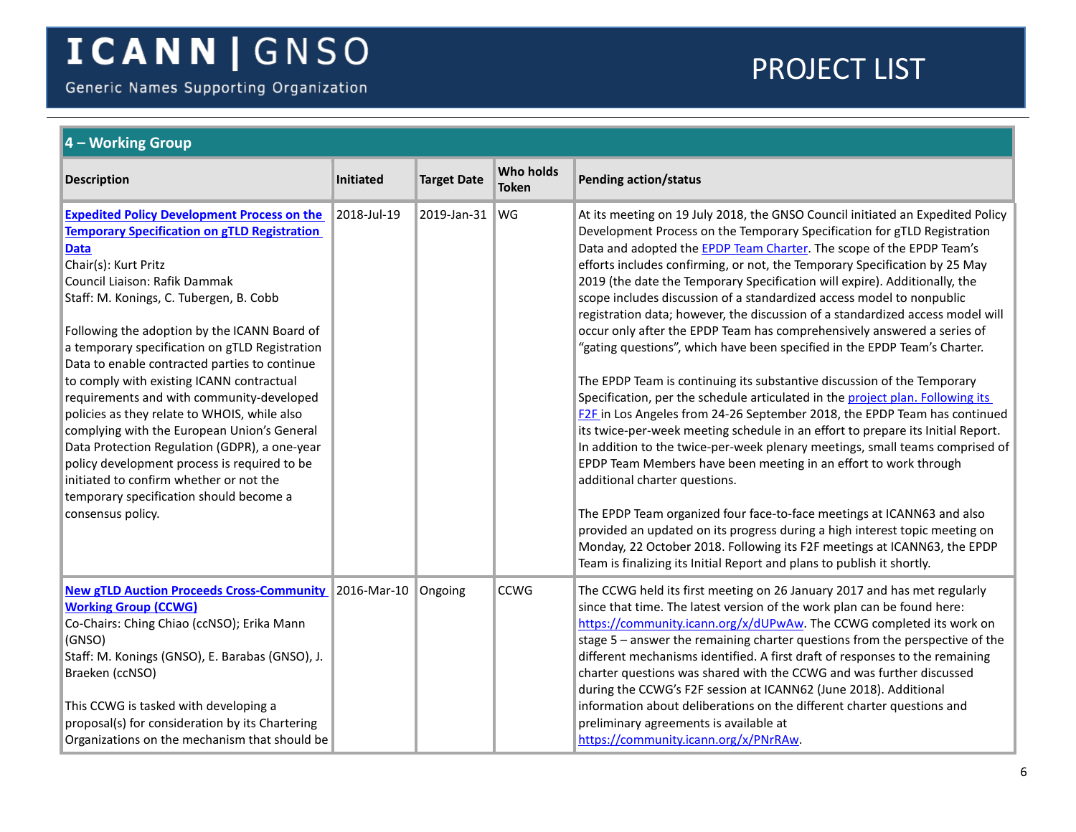Generic Names Supporting Organization

<span id="page-5-0"></span>

| $\vert$ 4 – Working Group                                                                                                                                                                                                                                                                                                                                                                                                                                                                                                                                                                                                                                                                                                                                                            |             |                    |                                  |                                                                                                                                                                                                                                                                                                                                                                                                                                                                                                                                                                                                                                                                                                                                                                                                                                                                                                                                                                                                                                                                                                                                                                                                                                                                                                                                                                                                                                                                                                                                                            |  |  |  |
|--------------------------------------------------------------------------------------------------------------------------------------------------------------------------------------------------------------------------------------------------------------------------------------------------------------------------------------------------------------------------------------------------------------------------------------------------------------------------------------------------------------------------------------------------------------------------------------------------------------------------------------------------------------------------------------------------------------------------------------------------------------------------------------|-------------|--------------------|----------------------------------|------------------------------------------------------------------------------------------------------------------------------------------------------------------------------------------------------------------------------------------------------------------------------------------------------------------------------------------------------------------------------------------------------------------------------------------------------------------------------------------------------------------------------------------------------------------------------------------------------------------------------------------------------------------------------------------------------------------------------------------------------------------------------------------------------------------------------------------------------------------------------------------------------------------------------------------------------------------------------------------------------------------------------------------------------------------------------------------------------------------------------------------------------------------------------------------------------------------------------------------------------------------------------------------------------------------------------------------------------------------------------------------------------------------------------------------------------------------------------------------------------------------------------------------------------------|--|--|--|
| <b>Description</b>                                                                                                                                                                                                                                                                                                                                                                                                                                                                                                                                                                                                                                                                                                                                                                   | Initiated   | <b>Target Date</b> | <b>Who holds</b><br><b>Token</b> | <b>Pending action/status</b>                                                                                                                                                                                                                                                                                                                                                                                                                                                                                                                                                                                                                                                                                                                                                                                                                                                                                                                                                                                                                                                                                                                                                                                                                                                                                                                                                                                                                                                                                                                               |  |  |  |
| <b>Expedited Policy Development Process on the</b><br><b>Temporary Specification on gTLD Registration</b><br><b>Data</b><br>Chair(s): Kurt Pritz<br>Council Liaison: Rafik Dammak<br>Staff: M. Konings, C. Tubergen, B. Cobb<br>Following the adoption by the ICANN Board of<br>a temporary specification on gTLD Registration<br>Data to enable contracted parties to continue<br>to comply with existing ICANN contractual<br>requirements and with community-developed<br>policies as they relate to WHOIS, while also<br>complying with the European Union's General<br>Data Protection Regulation (GDPR), a one-year<br>policy development process is required to be<br>initiated to confirm whether or not the<br>temporary specification should become a<br>consensus policy. | 2018-Jul-19 | 2019-Jan-31        | <b>WG</b>                        | At its meeting on 19 July 2018, the GNSO Council initiated an Expedited Policy<br>Development Process on the Temporary Specification for gTLD Registration<br>Data and adopted the <b>EPDP Team Charter</b> . The scope of the EPDP Team's<br>efforts includes confirming, or not, the Temporary Specification by 25 May<br>2019 (the date the Temporary Specification will expire). Additionally, the<br>scope includes discussion of a standardized access model to nonpublic<br>registration data; however, the discussion of a standardized access model will<br>occur only after the EPDP Team has comprehensively answered a series of<br>"gating questions", which have been specified in the EPDP Team's Charter.<br>The EPDP Team is continuing its substantive discussion of the Temporary<br>Specification, per the schedule articulated in the project plan. Following its<br>F2F in Los Angeles from 24-26 September 2018, the EPDP Team has continued<br>its twice-per-week meeting schedule in an effort to prepare its Initial Report.<br>In addition to the twice-per-week plenary meetings, small teams comprised of<br>EPDP Team Members have been meeting in an effort to work through<br>additional charter questions.<br>The EPDP Team organized four face-to-face meetings at ICANN63 and also<br>provided an updated on its progress during a high interest topic meeting on<br>Monday, 22 October 2018. Following its F2F meetings at ICANN63, the EPDP<br>Team is finalizing its Initial Report and plans to publish it shortly. |  |  |  |
| <b>New gTLD Auction Proceeds Cross-Community</b> 2016-Mar-10<br><b>Working Group (CCWG)</b><br>Co-Chairs: Ching Chiao (ccNSO); Erika Mann<br>(GNSO)<br>Staff: M. Konings (GNSO), E. Barabas (GNSO), J.<br>Braeken (ccNSO)<br>This CCWG is tasked with developing a<br>proposal(s) for consideration by its Chartering<br>Organizations on the mechanism that should be                                                                                                                                                                                                                                                                                                                                                                                                               |             | Ongoing            | <b>CCWG</b>                      | The CCWG held its first meeting on 26 January 2017 and has met regularly<br>since that time. The latest version of the work plan can be found here:<br>https://community.icann.org/x/dUPwAw. The CCWG completed its work on<br>stage 5 - answer the remaining charter questions from the perspective of the<br>different mechanisms identified. A first draft of responses to the remaining<br>charter questions was shared with the CCWG and was further discussed<br>during the CCWG's F2F session at ICANN62 (June 2018). Additional<br>information about deliberations on the different charter questions and<br>preliminary agreements is available at<br>https://community.icann.org/x/PNrRAw.                                                                                                                                                                                                                                                                                                                                                                                                                                                                                                                                                                                                                                                                                                                                                                                                                                                       |  |  |  |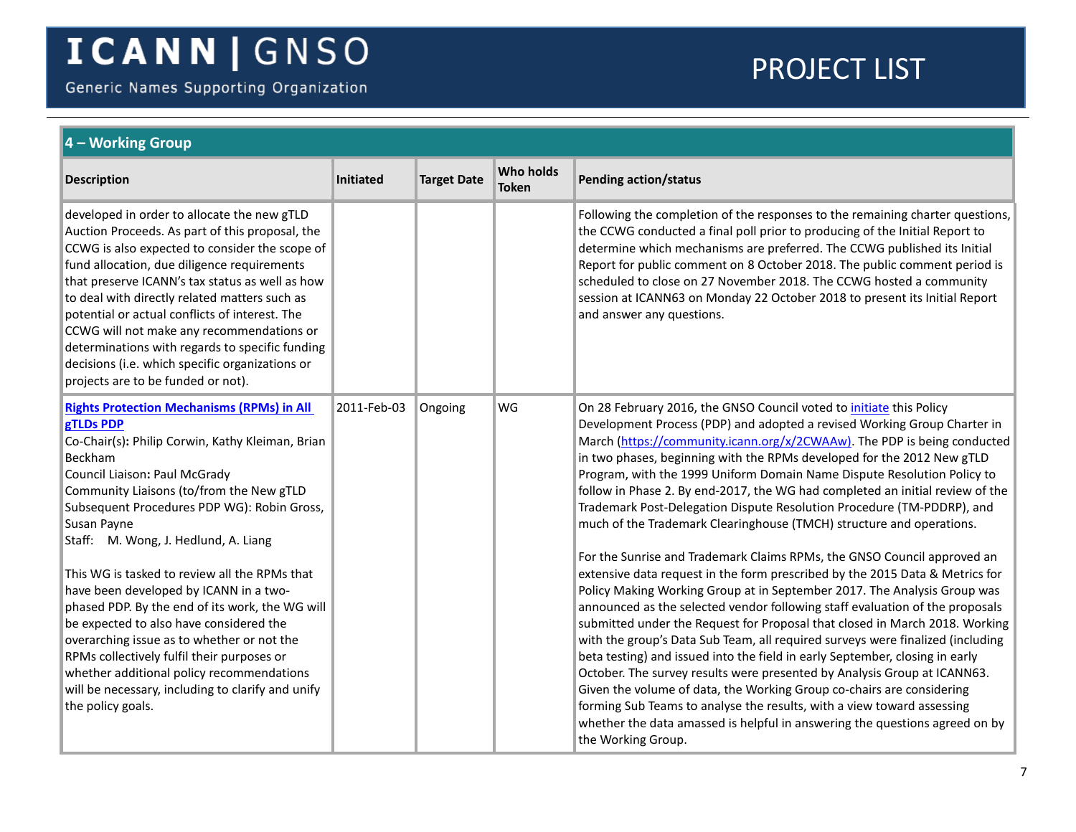Generic Names Supporting Organization

<span id="page-6-0"></span>

| 4 – Working Group                                                                                                                                                                                                                                                                                                                                                                                                                                                                                                                              |                  |                    |                                  |                                                                                                                                                                                                                                                                                                                                                                                                                                                                                                                                                                                                                                                                                                                                                                                                                                                                                                          |  |  |
|------------------------------------------------------------------------------------------------------------------------------------------------------------------------------------------------------------------------------------------------------------------------------------------------------------------------------------------------------------------------------------------------------------------------------------------------------------------------------------------------------------------------------------------------|------------------|--------------------|----------------------------------|----------------------------------------------------------------------------------------------------------------------------------------------------------------------------------------------------------------------------------------------------------------------------------------------------------------------------------------------------------------------------------------------------------------------------------------------------------------------------------------------------------------------------------------------------------------------------------------------------------------------------------------------------------------------------------------------------------------------------------------------------------------------------------------------------------------------------------------------------------------------------------------------------------|--|--|
| <b>Description</b>                                                                                                                                                                                                                                                                                                                                                                                                                                                                                                                             | <b>Initiated</b> | <b>Target Date</b> | <b>Who holds</b><br><b>Token</b> | <b>Pending action/status</b>                                                                                                                                                                                                                                                                                                                                                                                                                                                                                                                                                                                                                                                                                                                                                                                                                                                                             |  |  |
| developed in order to allocate the new gTLD<br>Auction Proceeds. As part of this proposal, the<br>CCWG is also expected to consider the scope of<br>fund allocation, due diligence requirements<br>that preserve ICANN's tax status as well as how<br>to deal with directly related matters such as<br>potential or actual conflicts of interest. The<br>CCWG will not make any recommendations or<br>determinations with regards to specific funding<br>decisions (i.e. which specific organizations or<br>projects are to be funded or not). |                  |                    |                                  | Following the completion of the responses to the remaining charter questions,<br>the CCWG conducted a final poll prior to producing of the Initial Report to<br>determine which mechanisms are preferred. The CCWG published its Initial<br>Report for public comment on 8 October 2018. The public comment period is<br>scheduled to close on 27 November 2018. The CCWG hosted a community<br>session at ICANN63 on Monday 22 October 2018 to present its Initial Report<br>and answer any questions.                                                                                                                                                                                                                                                                                                                                                                                                  |  |  |
| <b>Rights Protection Mechanisms (RPMs) in All</b><br><b>gTLDs PDP</b><br>Co-Chair(s): Philip Corwin, Kathy Kleiman, Brian<br>Beckham<br>Council Liaison: Paul McGrady<br>Community Liaisons (to/from the New gTLD<br>Subsequent Procedures PDP WG): Robin Gross,<br>Susan Payne<br>Staff: M. Wong, J. Hedlund, A. Liang                                                                                                                                                                                                                        | 2011-Feb-03      | Ongoing            | WG                               | On 28 February 2016, the GNSO Council voted to <i>initiate</i> this Policy<br>Development Process (PDP) and adopted a revised Working Group Charter in<br>March (https://community.icann.org/x/2CWAAw). The PDP is being conducted<br>in two phases, beginning with the RPMs developed for the 2012 New gTLD<br>Program, with the 1999 Uniform Domain Name Dispute Resolution Policy to<br>follow in Phase 2. By end-2017, the WG had completed an initial review of the<br>Trademark Post-Delegation Dispute Resolution Procedure (TM-PDDRP), and<br>much of the Trademark Clearinghouse (TMCH) structure and operations.                                                                                                                                                                                                                                                                               |  |  |
| This WG is tasked to review all the RPMs that<br>have been developed by ICANN in a two-<br>phased PDP. By the end of its work, the WG will<br>be expected to also have considered the<br>overarching issue as to whether or not the<br>RPMs collectively fulfil their purposes or<br>whether additional policy recommendations<br>will be necessary, including to clarify and unify<br>the policy goals.                                                                                                                                       |                  |                    |                                  | For the Sunrise and Trademark Claims RPMs, the GNSO Council approved an<br>extensive data request in the form prescribed by the 2015 Data & Metrics for<br>Policy Making Working Group at in September 2017. The Analysis Group was<br>announced as the selected vendor following staff evaluation of the proposals<br>submitted under the Request for Proposal that closed in March 2018. Working<br>with the group's Data Sub Team, all required surveys were finalized (including<br>beta testing) and issued into the field in early September, closing in early<br>October. The survey results were presented by Analysis Group at ICANN63.<br>Given the volume of data, the Working Group co-chairs are considering<br>forming Sub Teams to analyse the results, with a view toward assessing<br>whether the data amassed is helpful in answering the questions agreed on by<br>the Working Group. |  |  |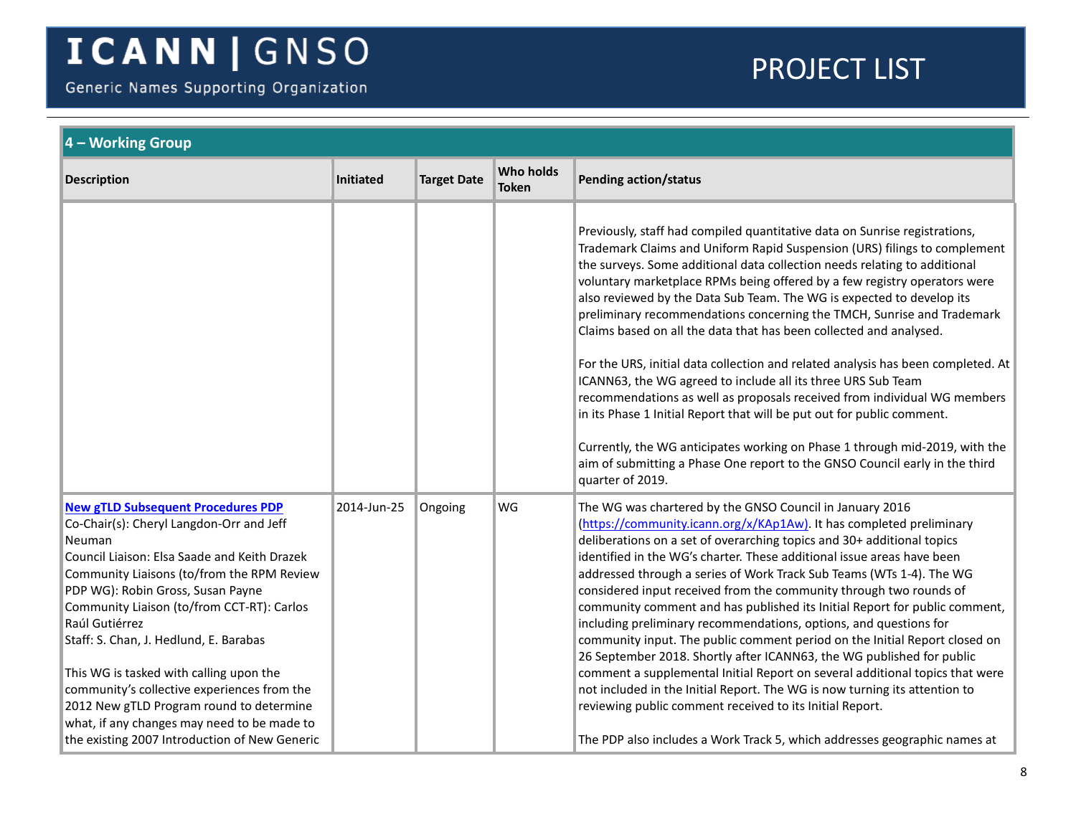Generic Names Supporting Organization

<span id="page-7-0"></span>

| 4 – Working Group                                                                                                                                                                                                                                                                                                                                                                                                                                                                                                                 |                  |                    |                                  |                                                                                                                                                                                                                                                                                                                                                                                                                                                                                                                                                                                                                                                                                                                                                                                                                                                                                                                                                                        |  |
|-----------------------------------------------------------------------------------------------------------------------------------------------------------------------------------------------------------------------------------------------------------------------------------------------------------------------------------------------------------------------------------------------------------------------------------------------------------------------------------------------------------------------------------|------------------|--------------------|----------------------------------|------------------------------------------------------------------------------------------------------------------------------------------------------------------------------------------------------------------------------------------------------------------------------------------------------------------------------------------------------------------------------------------------------------------------------------------------------------------------------------------------------------------------------------------------------------------------------------------------------------------------------------------------------------------------------------------------------------------------------------------------------------------------------------------------------------------------------------------------------------------------------------------------------------------------------------------------------------------------|--|
| <b>Description</b>                                                                                                                                                                                                                                                                                                                                                                                                                                                                                                                | <b>Initiated</b> | <b>Target Date</b> | <b>Who holds</b><br><b>Token</b> | <b>Pending action/status</b>                                                                                                                                                                                                                                                                                                                                                                                                                                                                                                                                                                                                                                                                                                                                                                                                                                                                                                                                           |  |
|                                                                                                                                                                                                                                                                                                                                                                                                                                                                                                                                   |                  |                    |                                  | Previously, staff had compiled quantitative data on Sunrise registrations,<br>Trademark Claims and Uniform Rapid Suspension (URS) filings to complement<br>the surveys. Some additional data collection needs relating to additional<br>voluntary marketplace RPMs being offered by a few registry operators were<br>also reviewed by the Data Sub Team. The WG is expected to develop its<br>preliminary recommendations concerning the TMCH, Sunrise and Trademark<br>Claims based on all the data that has been collected and analysed.<br>For the URS, initial data collection and related analysis has been completed. At<br>ICANN63, the WG agreed to include all its three URS Sub Team<br>recommendations as well as proposals received from individual WG members<br>in its Phase 1 Initial Report that will be put out for public comment.                                                                                                                   |  |
|                                                                                                                                                                                                                                                                                                                                                                                                                                                                                                                                   |                  |                    |                                  | Currently, the WG anticipates working on Phase 1 through mid-2019, with the<br>aim of submitting a Phase One report to the GNSO Council early in the third<br>quarter of 2019.                                                                                                                                                                                                                                                                                                                                                                                                                                                                                                                                                                                                                                                                                                                                                                                         |  |
| <b>New gTLD Subsequent Procedures PDP</b><br>Co-Chair(s): Cheryl Langdon-Orr and Jeff<br>Neuman<br>Council Liaison: Elsa Saade and Keith Drazek<br>Community Liaisons (to/from the RPM Review<br>PDP WG): Robin Gross, Susan Payne<br>Community Liaison (to/from CCT-RT): Carlos<br>Raúl Gutiérrez<br>Staff: S. Chan, J. Hedlund, E. Barabas<br>This WG is tasked with calling upon the<br>community's collective experiences from the<br>2012 New gTLD Program round to determine<br>what, if any changes may need to be made to | 2014-Jun-25      | Ongoing            | WG                               | The WG was chartered by the GNSO Council in January 2016<br>(https://community.icann.org/x/KAp1Aw). It has completed preliminary<br>deliberations on a set of overarching topics and 30+ additional topics<br>identified in the WG's charter. These additional issue areas have been<br>addressed through a series of Work Track Sub Teams (WTs 1-4). The WG<br>considered input received from the community through two rounds of<br>community comment and has published its Initial Report for public comment,<br>including preliminary recommendations, options, and questions for<br>community input. The public comment period on the Initial Report closed on<br>26 September 2018. Shortly after ICANN63, the WG published for public<br>comment a supplemental Initial Report on several additional topics that were<br>not included in the Initial Report. The WG is now turning its attention to<br>reviewing public comment received to its Initial Report. |  |
| the existing 2007 Introduction of New Generic                                                                                                                                                                                                                                                                                                                                                                                                                                                                                     |                  |                    |                                  | The PDP also includes a Work Track 5, which addresses geographic names at                                                                                                                                                                                                                                                                                                                                                                                                                                                                                                                                                                                                                                                                                                                                                                                                                                                                                              |  |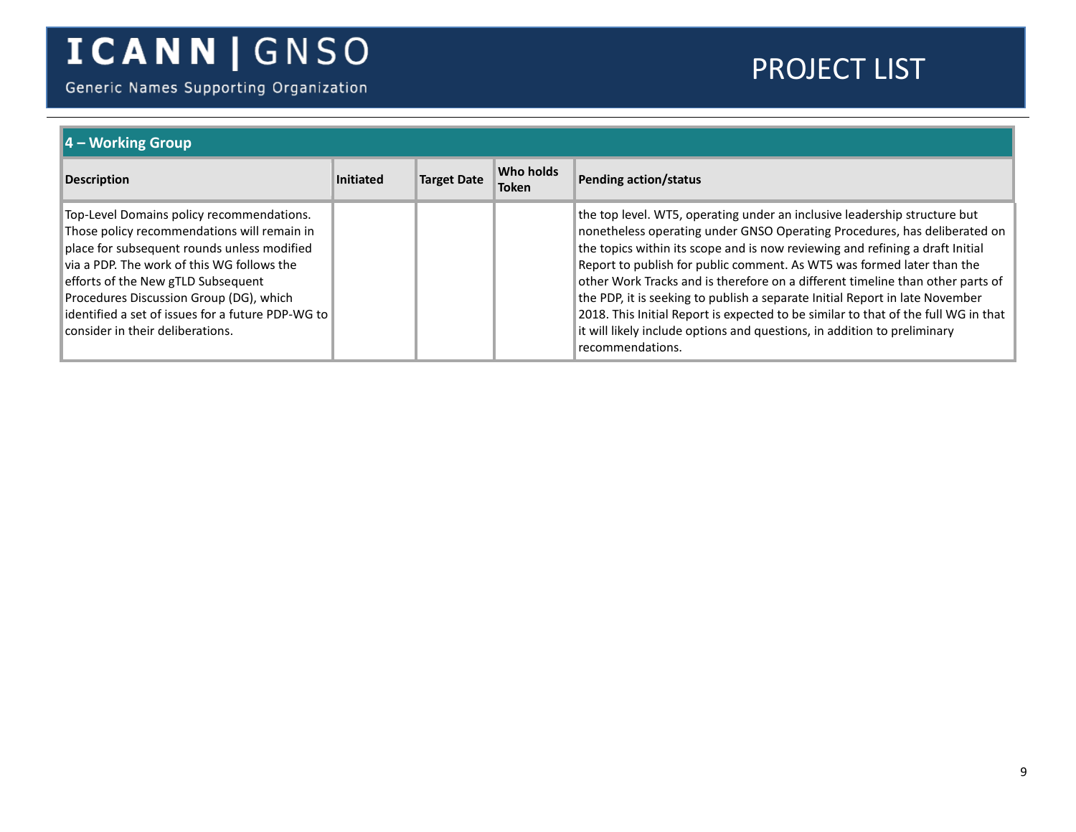Generic Names Supporting Organization

| $\overline{4 -$ Working Group                                                                                                                                                                                                                                                                                                                                   |           |                    |                           |                                                                                                                                                                                                                                                                                                                                                                                                                                                                                                                                                                                                                                                                           |  |  |
|-----------------------------------------------------------------------------------------------------------------------------------------------------------------------------------------------------------------------------------------------------------------------------------------------------------------------------------------------------------------|-----------|--------------------|---------------------------|---------------------------------------------------------------------------------------------------------------------------------------------------------------------------------------------------------------------------------------------------------------------------------------------------------------------------------------------------------------------------------------------------------------------------------------------------------------------------------------------------------------------------------------------------------------------------------------------------------------------------------------------------------------------------|--|--|
| <b>Description</b>                                                                                                                                                                                                                                                                                                                                              | Initiated | <b>Target Date</b> | Who holds<br><b>Token</b> | <b>Pending action/status</b>                                                                                                                                                                                                                                                                                                                                                                                                                                                                                                                                                                                                                                              |  |  |
| Top-Level Domains policy recommendations.<br>Those policy recommendations will remain in<br>place for subsequent rounds unless modified<br>via a PDP. The work of this WG follows the<br>efforts of the New gTLD Subsequent<br>Procedures Discussion Group (DG), which<br>identified a set of issues for a future PDP-WG to<br>consider in their deliberations. |           |                    |                           | the top level. WT5, operating under an inclusive leadership structure but<br>nonetheless operating under GNSO Operating Procedures, has deliberated on<br>the topics within its scope and is now reviewing and refining a draft Initial<br>Report to publish for public comment. As WT5 was formed later than the<br>other Work Tracks and is therefore on a different timeline than other parts of<br>the PDP, it is seeking to publish a separate Initial Report in late November<br>2018. This Initial Report is expected to be similar to that of the full WG in that<br>it will likely include options and questions, in addition to preliminary<br>recommendations. |  |  |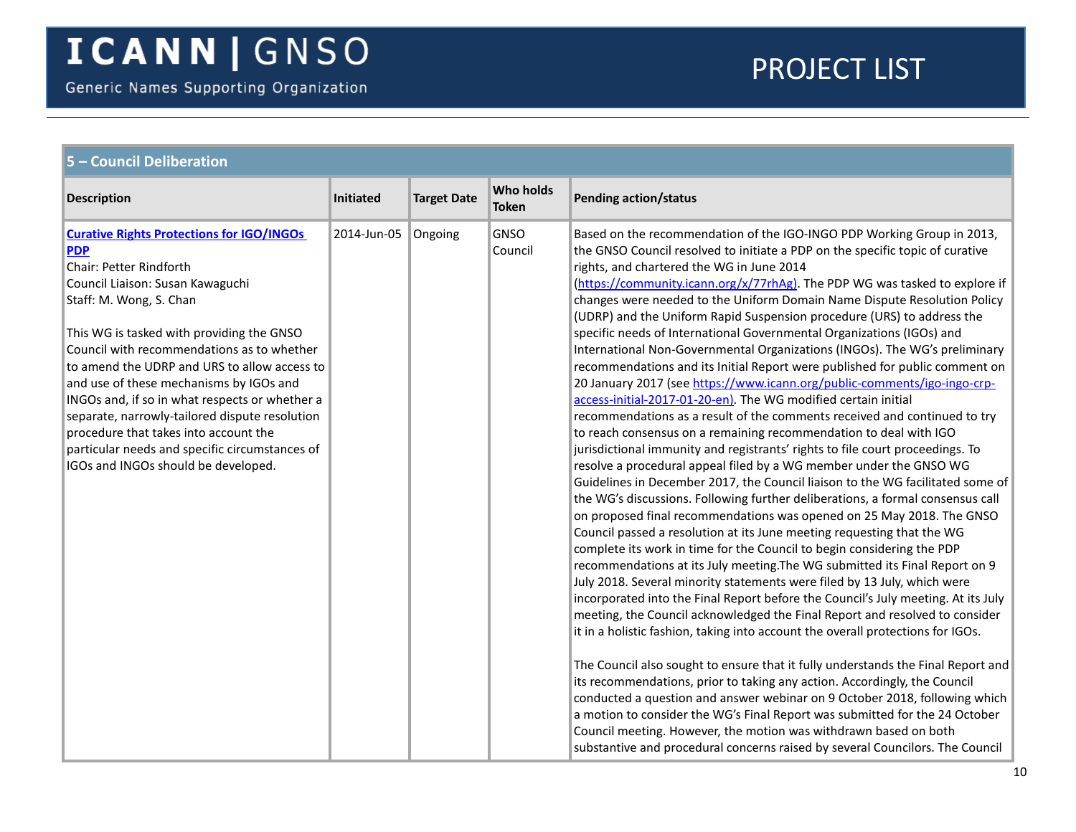<span id="page-9-0"></span>

| 5 - Council Deliberation                                                                                                                                                                                                                                                                                                                                                                                                                                                                                                                                                             |                  |                    |                                  |                                                                                                                                                                                                                                                                                                                                                                                                                                                                                                                                                                                                                                                                                                                                                                                                                                                                                                                                                                                                                                                                                                                                                                                                                                                                                                                                                                                                                                                                                                                                                                                                                                                                                                                                                                                                                                                                                                                                                                                                                                                                                                                                                                                                                                                                                                                                                                                                                                              |  |  |  |
|--------------------------------------------------------------------------------------------------------------------------------------------------------------------------------------------------------------------------------------------------------------------------------------------------------------------------------------------------------------------------------------------------------------------------------------------------------------------------------------------------------------------------------------------------------------------------------------|------------------|--------------------|----------------------------------|----------------------------------------------------------------------------------------------------------------------------------------------------------------------------------------------------------------------------------------------------------------------------------------------------------------------------------------------------------------------------------------------------------------------------------------------------------------------------------------------------------------------------------------------------------------------------------------------------------------------------------------------------------------------------------------------------------------------------------------------------------------------------------------------------------------------------------------------------------------------------------------------------------------------------------------------------------------------------------------------------------------------------------------------------------------------------------------------------------------------------------------------------------------------------------------------------------------------------------------------------------------------------------------------------------------------------------------------------------------------------------------------------------------------------------------------------------------------------------------------------------------------------------------------------------------------------------------------------------------------------------------------------------------------------------------------------------------------------------------------------------------------------------------------------------------------------------------------------------------------------------------------------------------------------------------------------------------------------------------------------------------------------------------------------------------------------------------------------------------------------------------------------------------------------------------------------------------------------------------------------------------------------------------------------------------------------------------------------------------------------------------------------------------------------------------------|--|--|--|
| <b>Description</b>                                                                                                                                                                                                                                                                                                                                                                                                                                                                                                                                                                   | <b>Initiated</b> | <b>Target Date</b> | <b>Who holds</b><br><b>Token</b> | Pending action/status                                                                                                                                                                                                                                                                                                                                                                                                                                                                                                                                                                                                                                                                                                                                                                                                                                                                                                                                                                                                                                                                                                                                                                                                                                                                                                                                                                                                                                                                                                                                                                                                                                                                                                                                                                                                                                                                                                                                                                                                                                                                                                                                                                                                                                                                                                                                                                                                                        |  |  |  |
| <b>Curative Rights Protections for IGO/INGOs</b><br><b>PDP</b><br>Chair: Petter Rindforth<br>Council Liaison: Susan Kawaguchi<br>Staff: M. Wong, S. Chan<br>This WG is tasked with providing the GNSO<br>Council with recommendations as to whether<br>to amend the UDRP and URS to allow access to<br>and use of these mechanisms by IGOs and<br>INGOs and, if so in what respects or whether a<br>separate, narrowly-tailored dispute resolution<br>procedure that takes into account the<br>particular needs and specific circumstances of<br>IGOs and INGOs should be developed. | 2014-Jun-05      | Ongoing            | <b>GNSO</b><br>Council           | Based on the recommendation of the IGO-INGO PDP Working Group in 2013,<br>the GNSO Council resolved to initiate a PDP on the specific topic of curative<br>rights, and chartered the WG in June 2014<br>(https://community.icann.org/x/77rhAg). The PDP WG was tasked to explore if<br>changes were needed to the Uniform Domain Name Dispute Resolution Policy<br>(UDRP) and the Uniform Rapid Suspension procedure (URS) to address the<br>specific needs of International Governmental Organizations (IGOs) and<br>International Non-Governmental Organizations (INGOs). The WG's preliminary<br>recommendations and its Initial Report were published for public comment on<br>20 January 2017 (see https://www.icann.org/public-comments/igo-ingo-crp-<br>access-initial-2017-01-20-en). The WG modified certain initial<br>recommendations as a result of the comments received and continued to try<br>to reach consensus on a remaining recommendation to deal with IGO<br>jurisdictional immunity and registrants' rights to file court proceedings. To<br>resolve a procedural appeal filed by a WG member under the GNSO WG<br>Guidelines in December 2017, the Council liaison to the WG facilitated some of<br>the WG's discussions. Following further deliberations, a formal consensus call<br>on proposed final recommendations was opened on 25 May 2018. The GNSO<br>Council passed a resolution at its June meeting requesting that the WG<br>complete its work in time for the Council to begin considering the PDP<br>recommendations at its July meeting. The WG submitted its Final Report on 9<br>July 2018. Several minority statements were filed by 13 July, which were<br>incorporated into the Final Report before the Council's July meeting. At its July<br>meeting, the Council acknowledged the Final Report and resolved to consider<br>it in a holistic fashion, taking into account the overall protections for IGOs.<br>The Council also sought to ensure that it fully understands the Final Report and<br>its recommendations, prior to taking any action. Accordingly, the Council<br>conducted a question and answer webinar on 9 October 2018, following which<br>a motion to consider the WG's Final Report was submitted for the 24 October<br>Council meeting. However, the motion was withdrawn based on both<br>substantive and procedural concerns raised by several Councilors. The Council |  |  |  |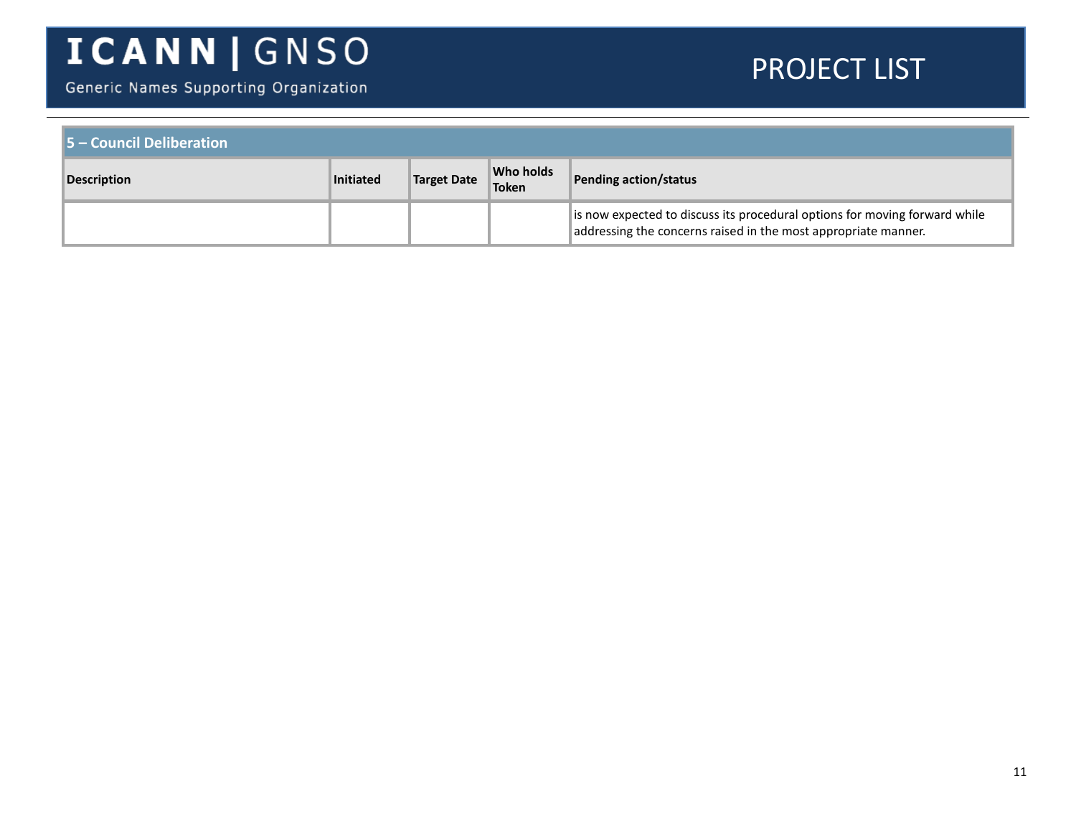Generic Names Supporting Organization

| $\blacksquare$ 5 – Council Deliberation |           |                    |                    |                                                                                                                                              |  |  |
|-----------------------------------------|-----------|--------------------|--------------------|----------------------------------------------------------------------------------------------------------------------------------------------|--|--|
| <b>Description</b>                      | Initiated | <b>Target Date</b> | Who holds<br>Token | Pending action/status                                                                                                                        |  |  |
|                                         |           |                    |                    | is now expected to discuss its procedural options for moving forward while<br>addressing the concerns raised in the most appropriate manner. |  |  |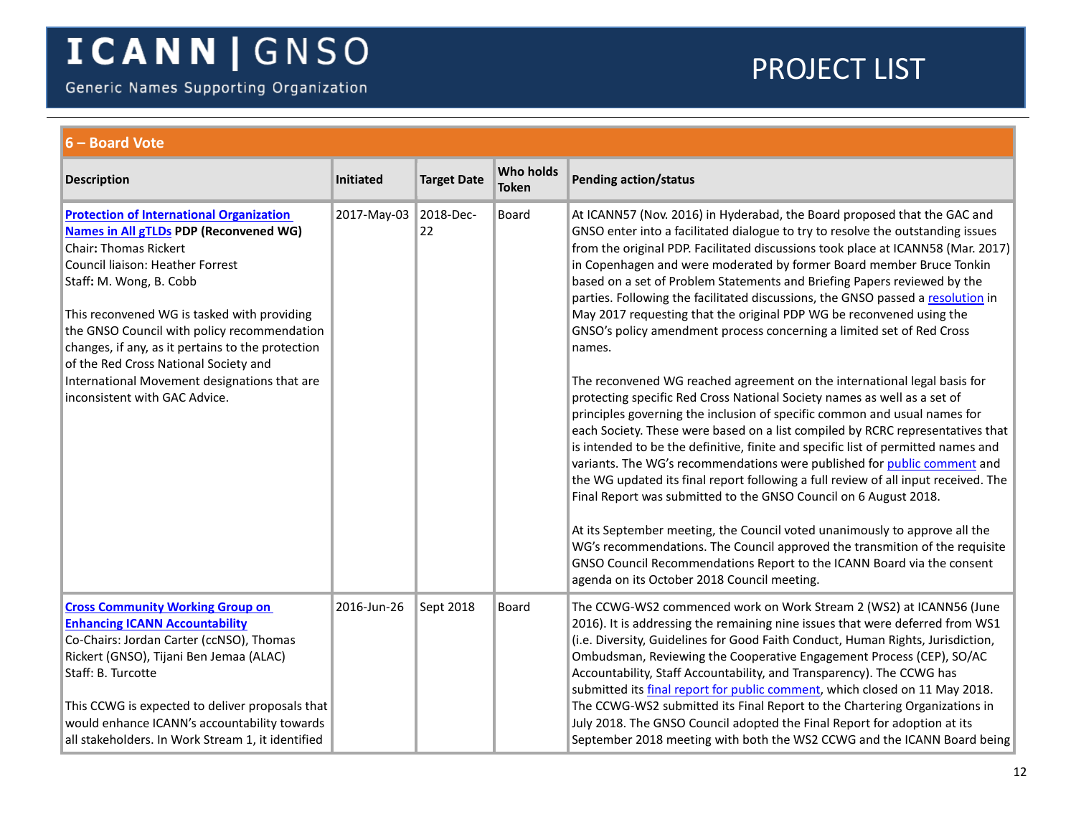Generic Names Supporting Organization

<span id="page-11-1"></span><span id="page-11-0"></span>

| 6 - Board Vote                                                                                                                                                                                                                                                                                                                                                                                                                                                               |                       |                    |                                  |                                                                                                                                                                                                                                                                                                                                                                                                                                                                                                                                                                                                                                                                                                                                                                                                                                                                                                                                                                                                                                                                                                                                                                                                                                                                                                                                                                                                                                                                                                                                                                                           |  |  |  |
|------------------------------------------------------------------------------------------------------------------------------------------------------------------------------------------------------------------------------------------------------------------------------------------------------------------------------------------------------------------------------------------------------------------------------------------------------------------------------|-----------------------|--------------------|----------------------------------|-------------------------------------------------------------------------------------------------------------------------------------------------------------------------------------------------------------------------------------------------------------------------------------------------------------------------------------------------------------------------------------------------------------------------------------------------------------------------------------------------------------------------------------------------------------------------------------------------------------------------------------------------------------------------------------------------------------------------------------------------------------------------------------------------------------------------------------------------------------------------------------------------------------------------------------------------------------------------------------------------------------------------------------------------------------------------------------------------------------------------------------------------------------------------------------------------------------------------------------------------------------------------------------------------------------------------------------------------------------------------------------------------------------------------------------------------------------------------------------------------------------------------------------------------------------------------------------------|--|--|--|
| <b>Description</b>                                                                                                                                                                                                                                                                                                                                                                                                                                                           | Initiated             | <b>Target Date</b> | <b>Who holds</b><br><b>Token</b> | <b>Pending action/status</b>                                                                                                                                                                                                                                                                                                                                                                                                                                                                                                                                                                                                                                                                                                                                                                                                                                                                                                                                                                                                                                                                                                                                                                                                                                                                                                                                                                                                                                                                                                                                                              |  |  |  |
| <b>Protection of International Organization</b><br><b>Names in All gTLDs PDP (Reconvened WG)</b><br><b>Chair: Thomas Rickert</b><br>Council liaison: Heather Forrest<br>Staff: M. Wong, B. Cobb<br>This reconvened WG is tasked with providing<br>the GNSO Council with policy recommendation<br>changes, if any, as it pertains to the protection<br>of the Red Cross National Society and<br>International Movement designations that are<br>inconsistent with GAC Advice. | 2017-May-03 2018-Dec- | 22                 | <b>Board</b>                     | At ICANN57 (Nov. 2016) in Hyderabad, the Board proposed that the GAC and<br>GNSO enter into a facilitated dialogue to try to resolve the outstanding issues<br>from the original PDP. Facilitated discussions took place at ICANN58 (Mar. 2017)<br>in Copenhagen and were moderated by former Board member Bruce Tonkin<br>based on a set of Problem Statements and Briefing Papers reviewed by the<br>parties. Following the facilitated discussions, the GNSO passed a resolution in<br>May 2017 requesting that the original PDP WG be reconvened using the<br>GNSO's policy amendment process concerning a limited set of Red Cross<br>names.<br>The reconvened WG reached agreement on the international legal basis for<br>protecting specific Red Cross National Society names as well as a set of<br>principles governing the inclusion of specific common and usual names for<br>each Society. These were based on a list compiled by RCRC representatives that<br>is intended to be the definitive, finite and specific list of permitted names and<br>variants. The WG's recommendations were published for public comment and<br>the WG updated its final report following a full review of all input received. The<br>Final Report was submitted to the GNSO Council on 6 August 2018.<br>At its September meeting, the Council voted unanimously to approve all the<br>WG's recommendations. The Council approved the transmition of the requisite<br>GNSO Council Recommendations Report to the ICANN Board via the consent<br>agenda on its October 2018 Council meeting. |  |  |  |
| <b>Cross Community Working Group on</b><br><b>Enhancing ICANN Accountability</b><br>Co-Chairs: Jordan Carter (ccNSO), Thomas<br>Rickert (GNSO), Tijani Ben Jemaa (ALAC)<br>Staff: B. Turcotte<br>This CCWG is expected to deliver proposals that<br>would enhance ICANN's accountability towards<br>all stakeholders. In Work Stream 1, it identified                                                                                                                        | 2016-Jun-26           | Sept 2018          | Board                            | The CCWG-WS2 commenced work on Work Stream 2 (WS2) at ICANN56 (June<br>2016). It is addressing the remaining nine issues that were deferred from WS1<br>(i.e. Diversity, Guidelines for Good Faith Conduct, Human Rights, Jurisdiction,<br>Ombudsman, Reviewing the Cooperative Engagement Process (CEP), SO/AC<br>Accountability, Staff Accountability, and Transparency). The CCWG has<br>submitted its final report for public comment, which closed on 11 May 2018.<br>The CCWG-WS2 submitted its Final Report to the Chartering Organizations in<br>July 2018. The GNSO Council adopted the Final Report for adoption at its<br>September 2018 meeting with both the WS2 CCWG and the ICANN Board being                                                                                                                                                                                                                                                                                                                                                                                                                                                                                                                                                                                                                                                                                                                                                                                                                                                                              |  |  |  |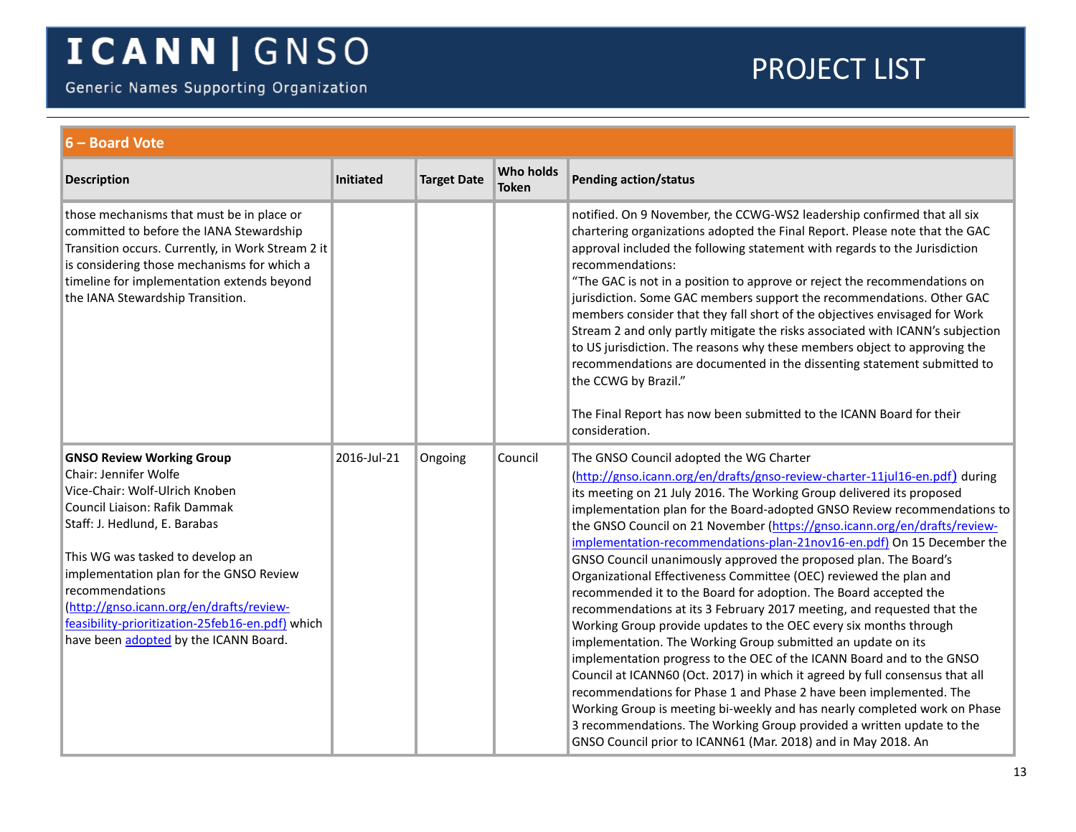Generic Names Supporting Organization

<span id="page-12-0"></span>

| 6 - Board Vote                                                                                                                                                                                                                                                                                                                                                                                           |                  |                    |                           |                                                                                                                                                                                                                                                                                                                                                                                                                                                                                                                                                                                                                                                                                                                                                                                                                                                                                                                                                                                                                                                                                                                                                                                                                                                                                                                       |  |  |
|----------------------------------------------------------------------------------------------------------------------------------------------------------------------------------------------------------------------------------------------------------------------------------------------------------------------------------------------------------------------------------------------------------|------------------|--------------------|---------------------------|-----------------------------------------------------------------------------------------------------------------------------------------------------------------------------------------------------------------------------------------------------------------------------------------------------------------------------------------------------------------------------------------------------------------------------------------------------------------------------------------------------------------------------------------------------------------------------------------------------------------------------------------------------------------------------------------------------------------------------------------------------------------------------------------------------------------------------------------------------------------------------------------------------------------------------------------------------------------------------------------------------------------------------------------------------------------------------------------------------------------------------------------------------------------------------------------------------------------------------------------------------------------------------------------------------------------------|--|--|
| <b>Description</b>                                                                                                                                                                                                                                                                                                                                                                                       | <b>Initiated</b> | <b>Target Date</b> | Who holds<br><b>Token</b> | <b>Pending action/status</b>                                                                                                                                                                                                                                                                                                                                                                                                                                                                                                                                                                                                                                                                                                                                                                                                                                                                                                                                                                                                                                                                                                                                                                                                                                                                                          |  |  |
| those mechanisms that must be in place or<br>committed to before the IANA Stewardship<br>Transition occurs. Currently, in Work Stream 2 it<br>is considering those mechanisms for which a<br>timeline for implementation extends beyond<br>the IANA Stewardship Transition.                                                                                                                              |                  |                    |                           | notified. On 9 November, the CCWG-WS2 leadership confirmed that all six<br>chartering organizations adopted the Final Report. Please note that the GAC<br>approval included the following statement with regards to the Jurisdiction<br>recommendations:<br>"The GAC is not in a position to approve or reject the recommendations on<br>jurisdiction. Some GAC members support the recommendations. Other GAC<br>members consider that they fall short of the objectives envisaged for Work<br>Stream 2 and only partly mitigate the risks associated with ICANN's subjection<br>to US jurisdiction. The reasons why these members object to approving the<br>recommendations are documented in the dissenting statement submitted to<br>the CCWG by Brazil."<br>The Final Report has now been submitted to the ICANN Board for their<br>consideration.                                                                                                                                                                                                                                                                                                                                                                                                                                                              |  |  |
| <b>GNSO Review Working Group</b><br>Chair: Jennifer Wolfe<br>Vice-Chair: Wolf-Ulrich Knoben<br>Council Liaison: Rafik Dammak<br>Staff: J. Hedlund, E. Barabas<br>This WG was tasked to develop an<br>implementation plan for the GNSO Review<br>recommendations<br>(http://gnso.icann.org/en/drafts/review-<br>feasibility-prioritization-25feb16-en.pdf) which<br>have been adopted by the ICANN Board. | 2016-Jul-21      | Ongoing            | Council                   | The GNSO Council adopted the WG Charter<br>(http://gnso.icann.org/en/drafts/gnso-review-charter-11jul16-en.pdf) during<br>its meeting on 21 July 2016. The Working Group delivered its proposed<br>implementation plan for the Board-adopted GNSO Review recommendations to<br>the GNSO Council on 21 November (https://gnso.icann.org/en/drafts/review-<br>implementation-recommendations-plan-21nov16-en.pdf) On 15 December the<br>GNSO Council unanimously approved the proposed plan. The Board's<br>Organizational Effectiveness Committee (OEC) reviewed the plan and<br>recommended it to the Board for adoption. The Board accepted the<br>recommendations at its 3 February 2017 meeting, and requested that the<br>Working Group provide updates to the OEC every six months through<br>implementation. The Working Group submitted an update on its<br>implementation progress to the OEC of the ICANN Board and to the GNSO<br>Council at ICANN60 (Oct. 2017) in which it agreed by full consensus that all<br>recommendations for Phase 1 and Phase 2 have been implemented. The<br>Working Group is meeting bi-weekly and has nearly completed work on Phase<br>3 recommendations. The Working Group provided a written update to the<br>GNSO Council prior to ICANN61 (Mar. 2018) and in May 2018. An |  |  |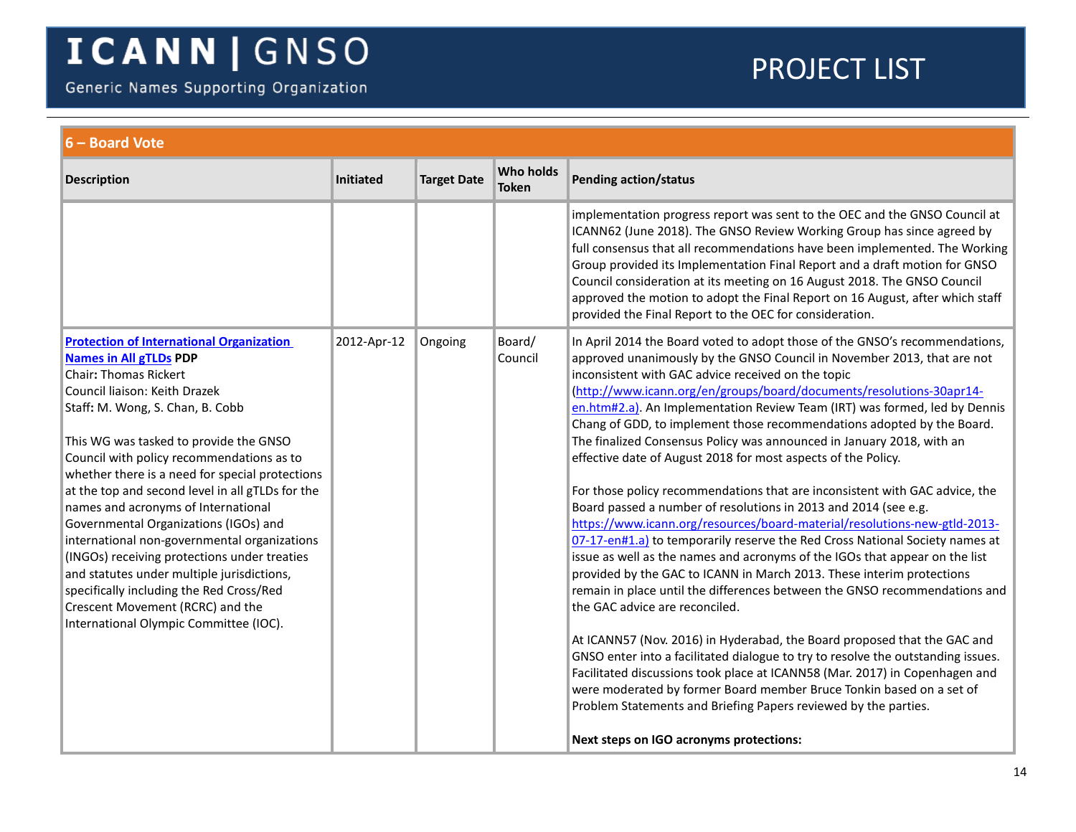Generic Names Supporting Organization

<span id="page-13-0"></span>

| 6 - Board Vote                                                                                                                                                                                                                                                                                                                                                                                                                                                                                                                                                                                                                                                                                                                              |             |                    |                           |                                                                                                                                                                                                                                                                                                                                                                                                                                                                                                                                                                                                                                                                                                                                                                                                                                                                                                                                                                                                                                                                                                                                                                                                                                                                                                                                                                                                                                                                                                                                                                                                                    |  |  |
|---------------------------------------------------------------------------------------------------------------------------------------------------------------------------------------------------------------------------------------------------------------------------------------------------------------------------------------------------------------------------------------------------------------------------------------------------------------------------------------------------------------------------------------------------------------------------------------------------------------------------------------------------------------------------------------------------------------------------------------------|-------------|--------------------|---------------------------|--------------------------------------------------------------------------------------------------------------------------------------------------------------------------------------------------------------------------------------------------------------------------------------------------------------------------------------------------------------------------------------------------------------------------------------------------------------------------------------------------------------------------------------------------------------------------------------------------------------------------------------------------------------------------------------------------------------------------------------------------------------------------------------------------------------------------------------------------------------------------------------------------------------------------------------------------------------------------------------------------------------------------------------------------------------------------------------------------------------------------------------------------------------------------------------------------------------------------------------------------------------------------------------------------------------------------------------------------------------------------------------------------------------------------------------------------------------------------------------------------------------------------------------------------------------------------------------------------------------------|--|--|
| <b>Description</b>                                                                                                                                                                                                                                                                                                                                                                                                                                                                                                                                                                                                                                                                                                                          | Initiated   | <b>Target Date</b> | Who holds<br><b>Token</b> | <b>Pending action/status</b>                                                                                                                                                                                                                                                                                                                                                                                                                                                                                                                                                                                                                                                                                                                                                                                                                                                                                                                                                                                                                                                                                                                                                                                                                                                                                                                                                                                                                                                                                                                                                                                       |  |  |
|                                                                                                                                                                                                                                                                                                                                                                                                                                                                                                                                                                                                                                                                                                                                             |             |                    |                           | implementation progress report was sent to the OEC and the GNSO Council at<br>ICANN62 (June 2018). The GNSO Review Working Group has since agreed by<br>full consensus that all recommendations have been implemented. The Working<br>Group provided its Implementation Final Report and a draft motion for GNSO<br>Council consideration at its meeting on 16 August 2018. The GNSO Council<br>approved the motion to adopt the Final Report on 16 August, after which staff<br>provided the Final Report to the OEC for consideration.                                                                                                                                                                                                                                                                                                                                                                                                                                                                                                                                                                                                                                                                                                                                                                                                                                                                                                                                                                                                                                                                           |  |  |
| <b>Protection of International Organization</b><br><b>Names in All gTLDs PDP</b><br><b>Chair: Thomas Rickert</b><br>Council liaison: Keith Drazek<br>Staff: M. Wong, S. Chan, B. Cobb<br>This WG was tasked to provide the GNSO<br>Council with policy recommendations as to<br>whether there is a need for special protections<br>at the top and second level in all gTLDs for the<br>names and acronyms of International<br>Governmental Organizations (IGOs) and<br>international non-governmental organizations<br>(INGOs) receiving protections under treaties<br>and statutes under multiple jurisdictions,<br>specifically including the Red Cross/Red<br>Crescent Movement (RCRC) and the<br>International Olympic Committee (IOC). | 2012-Apr-12 | Ongoing            | Board/<br>Council         | In April 2014 the Board voted to adopt those of the GNSO's recommendations,<br>approved unanimously by the GNSO Council in November 2013, that are not<br>inconsistent with GAC advice received on the topic<br>(http://www.icann.org/en/groups/board/documents/resolutions-30apr14-<br>en.htm#2.a). An Implementation Review Team (IRT) was formed, led by Dennis<br>Chang of GDD, to implement those recommendations adopted by the Board.<br>The finalized Consensus Policy was announced in January 2018, with an<br>effective date of August 2018 for most aspects of the Policy.<br>For those policy recommendations that are inconsistent with GAC advice, the<br>Board passed a number of resolutions in 2013 and 2014 (see e.g.<br>https://www.icann.org/resources/board-material/resolutions-new-gtld-2013-<br>07-17-en#1.a) to temporarily reserve the Red Cross National Society names at<br>issue as well as the names and acronyms of the IGOs that appear on the list<br>provided by the GAC to ICANN in March 2013. These interim protections<br>remain in place until the differences between the GNSO recommendations and<br>the GAC advice are reconciled.<br>At ICANN57 (Nov. 2016) in Hyderabad, the Board proposed that the GAC and<br>GNSO enter into a facilitated dialogue to try to resolve the outstanding issues.<br>Facilitated discussions took place at ICANN58 (Mar. 2017) in Copenhagen and<br>were moderated by former Board member Bruce Tonkin based on a set of<br>Problem Statements and Briefing Papers reviewed by the parties.<br>Next steps on IGO acronyms protections: |  |  |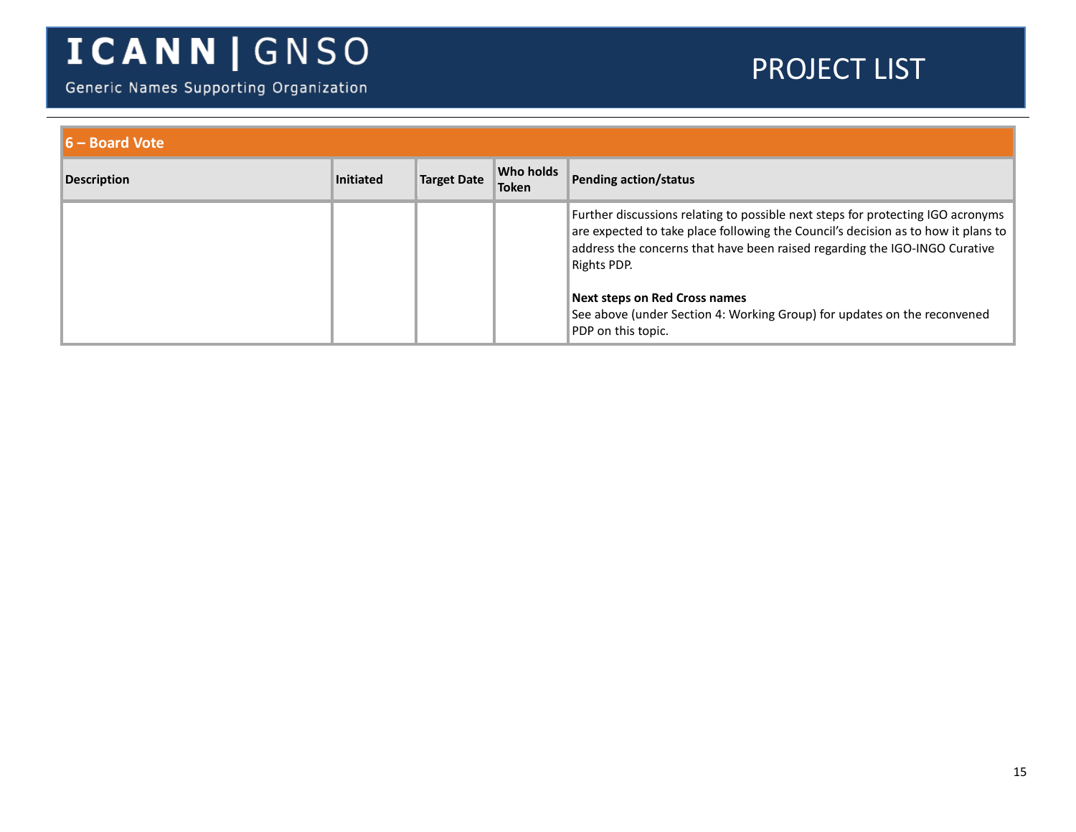Generic Names Supporting Organization

| $\vert\vert$ 6 – Board Vote |                  |                    |                           |                                                                                                                                                                                                                                                                   |
|-----------------------------|------------------|--------------------|---------------------------|-------------------------------------------------------------------------------------------------------------------------------------------------------------------------------------------------------------------------------------------------------------------|
| <b>Description</b>          | <b>Initiated</b> | <b>Target Date</b> | Who holds<br><b>Token</b> | Pending action/status                                                                                                                                                                                                                                             |
|                             |                  |                    |                           | Further discussions relating to possible next steps for protecting IGO acronyms<br>are expected to take place following the Council's decision as to how it plans to<br>address the concerns that have been raised regarding the IGO-INGO Curative<br>Rights PDP. |
|                             |                  |                    |                           | <b>Next steps on Red Cross names</b><br>See above (under Section 4: Working Group) for updates on the reconvened<br>PDP on this topic.                                                                                                                            |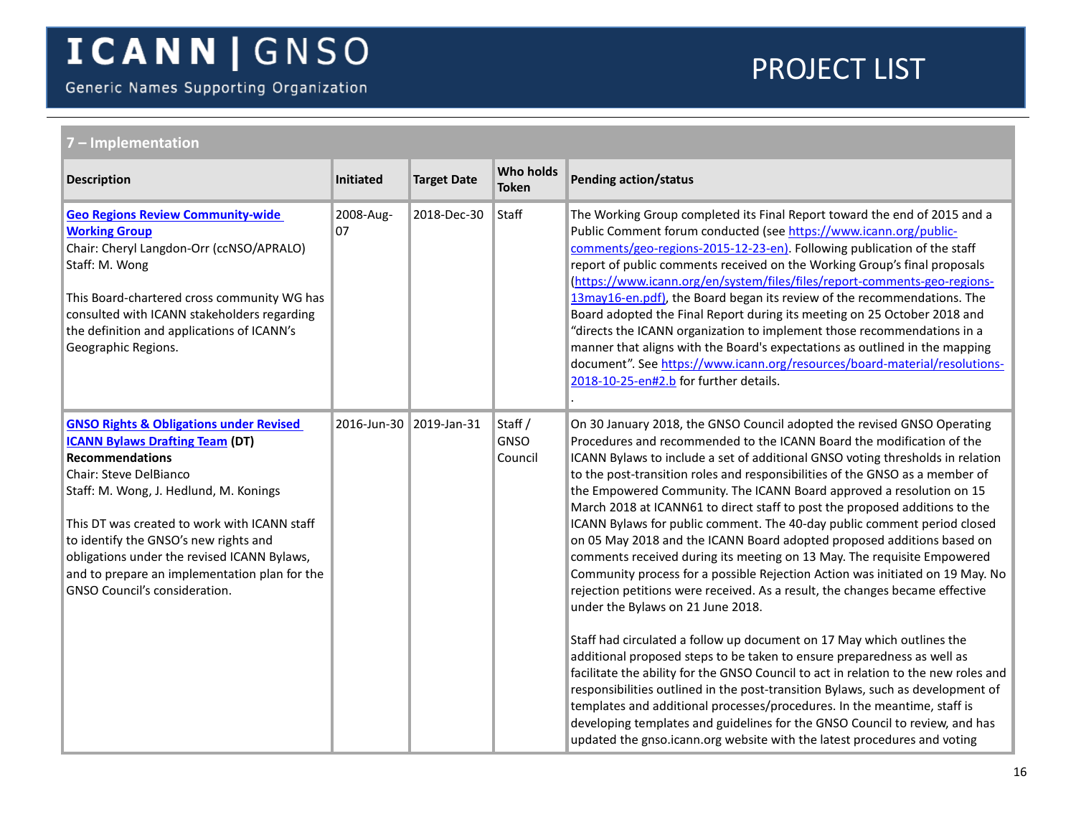Generic Names Supporting Organization

<span id="page-15-1"></span><span id="page-15-0"></span>

| ' – Implementation                                                                                                                                                                                                                                                                                                                                                                                                   |                           |                    |                                   |                                                                                                                                                                                                                                                                                                                                                                                                                                                                                                                                                                                                                                                                                                                                                                                                                                                                                                                                                                                                                                                                                                                                                                                                                                                                                                                                                                                                                                                                                        |  |  |  |
|----------------------------------------------------------------------------------------------------------------------------------------------------------------------------------------------------------------------------------------------------------------------------------------------------------------------------------------------------------------------------------------------------------------------|---------------------------|--------------------|-----------------------------------|----------------------------------------------------------------------------------------------------------------------------------------------------------------------------------------------------------------------------------------------------------------------------------------------------------------------------------------------------------------------------------------------------------------------------------------------------------------------------------------------------------------------------------------------------------------------------------------------------------------------------------------------------------------------------------------------------------------------------------------------------------------------------------------------------------------------------------------------------------------------------------------------------------------------------------------------------------------------------------------------------------------------------------------------------------------------------------------------------------------------------------------------------------------------------------------------------------------------------------------------------------------------------------------------------------------------------------------------------------------------------------------------------------------------------------------------------------------------------------------|--|--|--|
| <b>Description</b>                                                                                                                                                                                                                                                                                                                                                                                                   | Initiated                 | <b>Target Date</b> | Who holds<br><b>Token</b>         | <b>Pending action/status</b>                                                                                                                                                                                                                                                                                                                                                                                                                                                                                                                                                                                                                                                                                                                                                                                                                                                                                                                                                                                                                                                                                                                                                                                                                                                                                                                                                                                                                                                           |  |  |  |
| <b>Geo Regions Review Community-wide</b><br><b>Working Group</b><br>Chair: Cheryl Langdon-Orr (ccNSO/APRALO)<br>Staff: M. Wong<br>This Board-chartered cross community WG has<br>consulted with ICANN stakeholders regarding<br>the definition and applications of ICANN's<br>Geographic Regions.                                                                                                                    | 2008-Aug-<br>07           | 2018-Dec-30        | Staff                             | The Working Group completed its Final Report toward the end of 2015 and a<br>Public Comment forum conducted (see https://www.icann.org/public-<br>comments/geo-regions-2015-12-23-en). Following publication of the staff<br>report of public comments received on the Working Group's final proposals<br>(https://www.icann.org/en/system/files/files/report-comments-geo-regions-<br>13may16-en.pdf), the Board began its review of the recommendations. The<br>Board adopted the Final Report during its meeting on 25 October 2018 and<br>"directs the ICANN organization to implement those recommendations in a<br>manner that aligns with the Board's expectations as outlined in the mapping<br>document". See https://www.icann.org/resources/board-material/resolutions-<br>2018-10-25-en#2.b for further details.                                                                                                                                                                                                                                                                                                                                                                                                                                                                                                                                                                                                                                                           |  |  |  |
| <b>GNSO Rights &amp; Obligations under Revised</b><br><b>ICANN Bylaws Drafting Team (DT)</b><br><b>Recommendations</b><br>Chair: Steve DelBianco<br>Staff: M. Wong, J. Hedlund, M. Konings<br>This DT was created to work with ICANN staff<br>to identify the GNSO's new rights and<br>obligations under the revised ICANN Bylaws,<br>and to prepare an implementation plan for the<br>GNSO Council's consideration. | 2016-Jun-30   2019-Jan-31 |                    | Staff /<br><b>GNSO</b><br>Council | On 30 January 2018, the GNSO Council adopted the revised GNSO Operating<br>Procedures and recommended to the ICANN Board the modification of the<br>ICANN Bylaws to include a set of additional GNSO voting thresholds in relation<br>to the post-transition roles and responsibilities of the GNSO as a member of<br>the Empowered Community. The ICANN Board approved a resolution on 15<br>March 2018 at ICANN61 to direct staff to post the proposed additions to the<br>ICANN Bylaws for public comment. The 40-day public comment period closed<br>on 05 May 2018 and the ICANN Board adopted proposed additions based on<br>comments received during its meeting on 13 May. The requisite Empowered<br>Community process for a possible Rejection Action was initiated on 19 May. No<br>rejection petitions were received. As a result, the changes became effective<br>under the Bylaws on 21 June 2018.<br>Staff had circulated a follow up document on 17 May which outlines the<br>additional proposed steps to be taken to ensure preparedness as well as<br>facilitate the ability for the GNSO Council to act in relation to the new roles and<br>responsibilities outlined in the post-transition Bylaws, such as development of<br>templates and additional processes/procedures. In the meantime, staff is<br>developing templates and guidelines for the GNSO Council to review, and has<br>updated the gnso.icann.org website with the latest procedures and voting |  |  |  |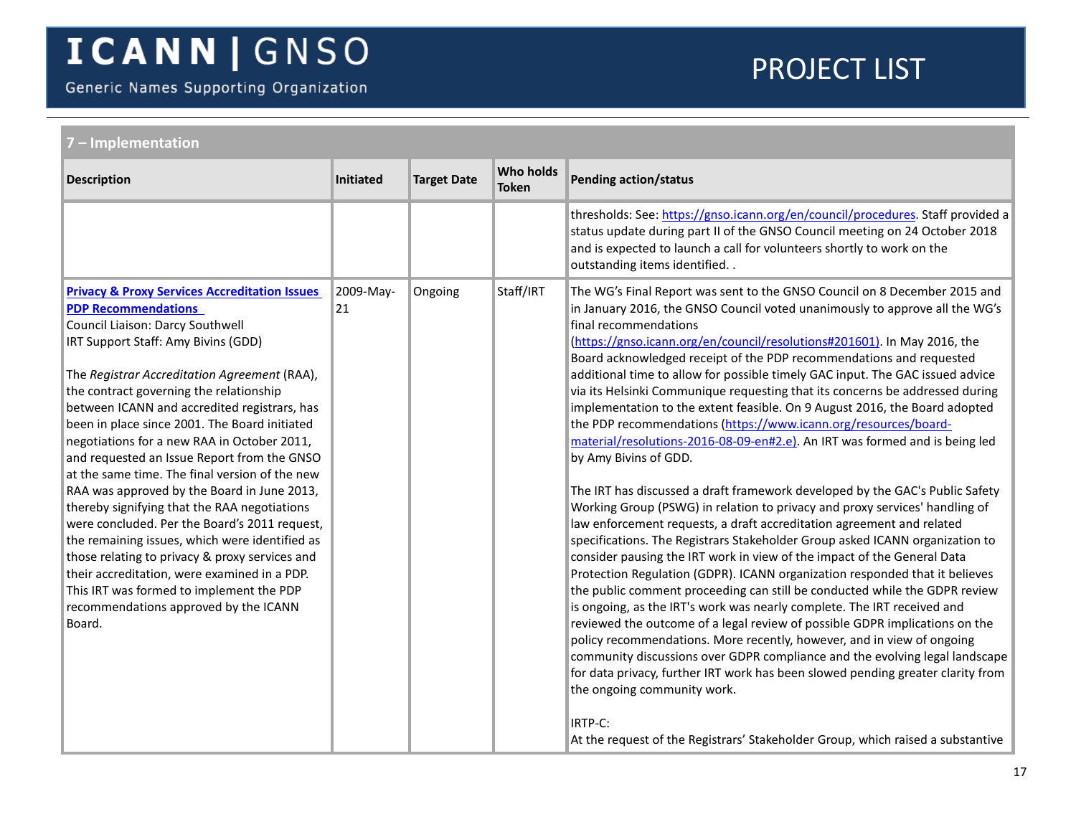Generic Names Supporting Organization

<span id="page-16-0"></span>

| 7 - Implementation                                                                                                                                                                                                                                                                                                                                                                                                                                                                                                                                                                                                                                                                                                                                                                                                                                                                                               |                  |                    |                                  |                                                                                                                                                                                                                                                                                                                                                                                                                                                                                                                                                                                                                                                                                                                                                                                                                                                                                                                                                                                                                                                                                                                                                                                                                                                                                                                                                                                                                                                                                                                                                                                                                                                                                                                                                                                                                                                                   |  |
|------------------------------------------------------------------------------------------------------------------------------------------------------------------------------------------------------------------------------------------------------------------------------------------------------------------------------------------------------------------------------------------------------------------------------------------------------------------------------------------------------------------------------------------------------------------------------------------------------------------------------------------------------------------------------------------------------------------------------------------------------------------------------------------------------------------------------------------------------------------------------------------------------------------|------------------|--------------------|----------------------------------|-------------------------------------------------------------------------------------------------------------------------------------------------------------------------------------------------------------------------------------------------------------------------------------------------------------------------------------------------------------------------------------------------------------------------------------------------------------------------------------------------------------------------------------------------------------------------------------------------------------------------------------------------------------------------------------------------------------------------------------------------------------------------------------------------------------------------------------------------------------------------------------------------------------------------------------------------------------------------------------------------------------------------------------------------------------------------------------------------------------------------------------------------------------------------------------------------------------------------------------------------------------------------------------------------------------------------------------------------------------------------------------------------------------------------------------------------------------------------------------------------------------------------------------------------------------------------------------------------------------------------------------------------------------------------------------------------------------------------------------------------------------------------------------------------------------------------------------------------------------------|--|
| <b>Description</b>                                                                                                                                                                                                                                                                                                                                                                                                                                                                                                                                                                                                                                                                                                                                                                                                                                                                                               | <b>Initiated</b> | <b>Target Date</b> | <b>Who holds</b><br><b>Token</b> | <b>Pending action/status</b>                                                                                                                                                                                                                                                                                                                                                                                                                                                                                                                                                                                                                                                                                                                                                                                                                                                                                                                                                                                                                                                                                                                                                                                                                                                                                                                                                                                                                                                                                                                                                                                                                                                                                                                                                                                                                                      |  |
|                                                                                                                                                                                                                                                                                                                                                                                                                                                                                                                                                                                                                                                                                                                                                                                                                                                                                                                  |                  |                    |                                  | thresholds: See: https://gnso.icann.org/en/council/procedures. Staff provided a<br>status update during part II of the GNSO Council meeting on 24 October 2018<br>and is expected to launch a call for volunteers shortly to work on the<br>outstanding items identified                                                                                                                                                                                                                                                                                                                                                                                                                                                                                                                                                                                                                                                                                                                                                                                                                                                                                                                                                                                                                                                                                                                                                                                                                                                                                                                                                                                                                                                                                                                                                                                          |  |
| <b>Privacy &amp; Proxy Services Accreditation Issues</b><br><b>PDP Recommendations</b><br>Council Liaison: Darcy Southwell<br>IRT Support Staff: Amy Bivins (GDD)<br>The Registrar Accreditation Agreement (RAA),<br>the contract governing the relationship<br>between ICANN and accredited registrars, has<br>been in place since 2001. The Board initiated<br>negotiations for a new RAA in October 2011,<br>and requested an Issue Report from the GNSO<br>at the same time. The final version of the new<br>RAA was approved by the Board in June 2013,<br>thereby signifying that the RAA negotiations<br>were concluded. Per the Board's 2011 request,<br>the remaining issues, which were identified as<br>those relating to privacy & proxy services and<br>their accreditation, were examined in a PDP.<br>This IRT was formed to implement the PDP<br>recommendations approved by the ICANN<br>Board. | 2009-May-<br>21  | Ongoing            | Staff/IRT                        | The WG's Final Report was sent to the GNSO Council on 8 December 2015 and<br>in January 2016, the GNSO Council voted unanimously to approve all the WG's<br>final recommendations<br>(https://gnso.icann.org/en/council/resolutions#201601). In May 2016, the<br>Board acknowledged receipt of the PDP recommendations and requested<br>additional time to allow for possible timely GAC input. The GAC issued advice<br>via its Helsinki Communique requesting that its concerns be addressed during<br>implementation to the extent feasible. On 9 August 2016, the Board adopted<br>the PDP recommendations (https://www.icann.org/resources/board-<br>material/resolutions-2016-08-09-en#2.e). An IRT was formed and is being led<br>by Amy Bivins of GDD.<br>The IRT has discussed a draft framework developed by the GAC's Public Safety<br>Working Group (PSWG) in relation to privacy and proxy services' handling of<br>law enforcement requests, a draft accreditation agreement and related<br>specifications. The Registrars Stakeholder Group asked ICANN organization to<br>consider pausing the IRT work in view of the impact of the General Data<br>Protection Regulation (GDPR). ICANN organization responded that it believes<br>the public comment proceeding can still be conducted while the GDPR review<br>is ongoing, as the IRT's work was nearly complete. The IRT received and<br>reviewed the outcome of a legal review of possible GDPR implications on the<br>policy recommendations. More recently, however, and in view of ongoing<br>community discussions over GDPR compliance and the evolving legal landscape<br>for data privacy, further IRT work has been slowed pending greater clarity from<br>the ongoing community work.<br>IRTP-C:<br>At the request of the Registrars' Stakeholder Group, which raised a substantive |  |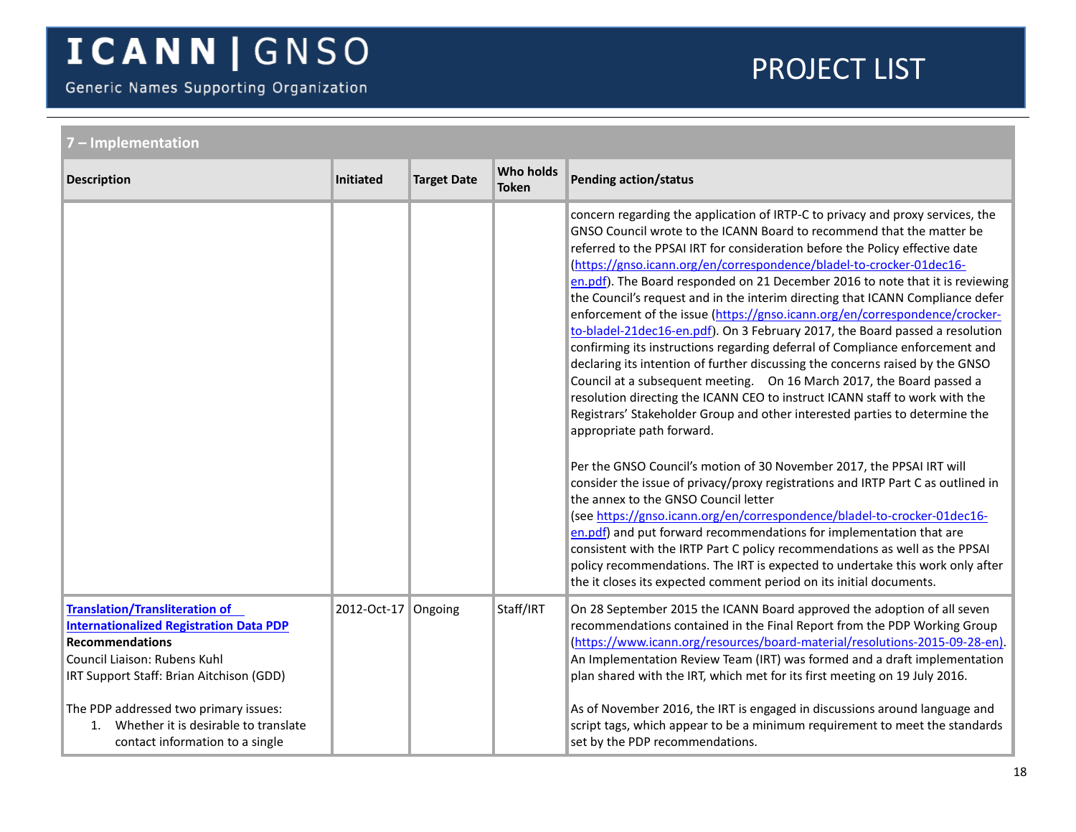Generic Names Supporting Organization

<span id="page-17-0"></span>

| - Implementation                                                                                                                                                                              |                     |                    |                                  |                                                                                                                                                                                                                                                                                                                                                                                                                                                                                                                                                                                                                                                                                                                                                                                                                                                                                                                                                                                                                                                                                                                                                                                                                                                                                                                                                                                                                                                                                                                                                                                                                                                                                        |  |  |
|-----------------------------------------------------------------------------------------------------------------------------------------------------------------------------------------------|---------------------|--------------------|----------------------------------|----------------------------------------------------------------------------------------------------------------------------------------------------------------------------------------------------------------------------------------------------------------------------------------------------------------------------------------------------------------------------------------------------------------------------------------------------------------------------------------------------------------------------------------------------------------------------------------------------------------------------------------------------------------------------------------------------------------------------------------------------------------------------------------------------------------------------------------------------------------------------------------------------------------------------------------------------------------------------------------------------------------------------------------------------------------------------------------------------------------------------------------------------------------------------------------------------------------------------------------------------------------------------------------------------------------------------------------------------------------------------------------------------------------------------------------------------------------------------------------------------------------------------------------------------------------------------------------------------------------------------------------------------------------------------------------|--|--|
| <b>Description</b>                                                                                                                                                                            | <b>Initiated</b>    | <b>Target Date</b> | <b>Who holds</b><br><b>Token</b> | <b>Pending action/status</b>                                                                                                                                                                                                                                                                                                                                                                                                                                                                                                                                                                                                                                                                                                                                                                                                                                                                                                                                                                                                                                                                                                                                                                                                                                                                                                                                                                                                                                                                                                                                                                                                                                                           |  |  |
|                                                                                                                                                                                               |                     |                    |                                  | concern regarding the application of IRTP-C to privacy and proxy services, the<br>GNSO Council wrote to the ICANN Board to recommend that the matter be<br>referred to the PPSAI IRT for consideration before the Policy effective date<br>(https://gnso.icann.org/en/correspondence/bladel-to-crocker-01dec16-<br>en.pdf). The Board responded on 21 December 2016 to note that it is reviewing<br>the Council's request and in the interim directing that ICANN Compliance defer<br>enforcement of the issue (https://gnso.icann.org/en/correspondence/crocker-<br>to-bladel-21dec16-en.pdf). On 3 February 2017, the Board passed a resolution<br>confirming its instructions regarding deferral of Compliance enforcement and<br>declaring its intention of further discussing the concerns raised by the GNSO<br>Council at a subsequent meeting.  On 16 March 2017, the Board passed a<br>resolution directing the ICANN CEO to instruct ICANN staff to work with the<br>Registrars' Stakeholder Group and other interested parties to determine the<br>appropriate path forward.<br>Per the GNSO Council's motion of 30 November 2017, the PPSAI IRT will<br>consider the issue of privacy/proxy registrations and IRTP Part C as outlined in<br>the annex to the GNSO Council letter<br>(see https://gnso.icann.org/en/correspondence/bladel-to-crocker-01dec16-<br>en.pdf) and put forward recommendations for implementation that are<br>consistent with the IRTP Part C policy recommendations as well as the PPSAI<br>policy recommendations. The IRT is expected to undertake this work only after<br>the it closes its expected comment period on its initial documents. |  |  |
| <b>Translation/Transliteration of</b><br><b>Internationalized Registration Data PDP</b><br><b>Recommendations</b><br>Council Liaison: Rubens Kuhl<br>IRT Support Staff: Brian Aitchison (GDD) | 2012-Oct-17 Ongoing |                    | Staff/IRT                        | On 28 September 2015 the ICANN Board approved the adoption of all seven<br>recommendations contained in the Final Report from the PDP Working Group<br>(https://www.icann.org/resources/board-material/resolutions-2015-09-28-en).<br>An Implementation Review Team (IRT) was formed and a draft implementation<br>plan shared with the IRT, which met for its first meeting on 19 July 2016.                                                                                                                                                                                                                                                                                                                                                                                                                                                                                                                                                                                                                                                                                                                                                                                                                                                                                                                                                                                                                                                                                                                                                                                                                                                                                          |  |  |
| The PDP addressed two primary issues:<br>Whether it is desirable to translate<br>1 <sup>1</sup><br>contact information to a single                                                            |                     |                    |                                  | As of November 2016, the IRT is engaged in discussions around language and<br>script tags, which appear to be a minimum requirement to meet the standards<br>set by the PDP recommendations.                                                                                                                                                                                                                                                                                                                                                                                                                                                                                                                                                                                                                                                                                                                                                                                                                                                                                                                                                                                                                                                                                                                                                                                                                                                                                                                                                                                                                                                                                           |  |  |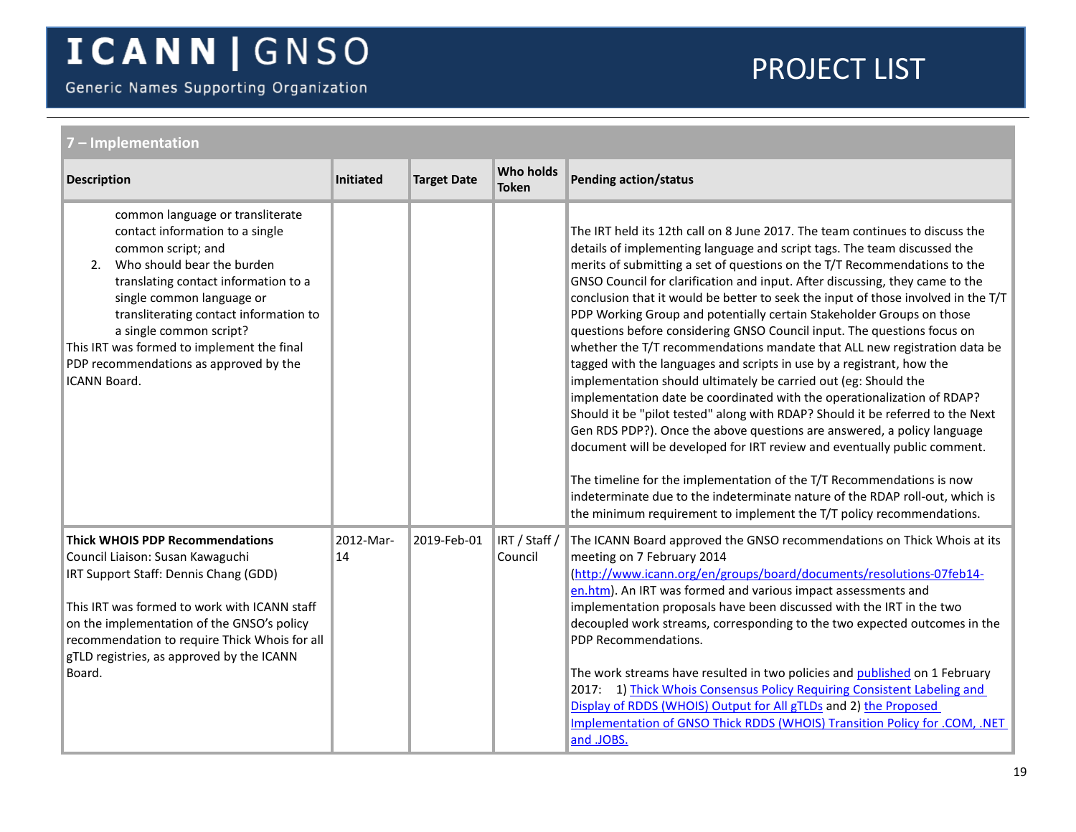Generic Names Supporting Organization

<span id="page-18-0"></span>

| '-Implementation                                                                                                                                                                                                                                                                                                                                                                       |                 |                    |                                  |                                                                                                                                                                                                                                                                                                                                                                                                                                                                                                                                                                                                                                                                                                                                                                                                                                                                                                                                                                                                                                                                                                                                                                                                                                                                                                                                              |  |  |
|----------------------------------------------------------------------------------------------------------------------------------------------------------------------------------------------------------------------------------------------------------------------------------------------------------------------------------------------------------------------------------------|-----------------|--------------------|----------------------------------|----------------------------------------------------------------------------------------------------------------------------------------------------------------------------------------------------------------------------------------------------------------------------------------------------------------------------------------------------------------------------------------------------------------------------------------------------------------------------------------------------------------------------------------------------------------------------------------------------------------------------------------------------------------------------------------------------------------------------------------------------------------------------------------------------------------------------------------------------------------------------------------------------------------------------------------------------------------------------------------------------------------------------------------------------------------------------------------------------------------------------------------------------------------------------------------------------------------------------------------------------------------------------------------------------------------------------------------------|--|--|
| <b>Description</b>                                                                                                                                                                                                                                                                                                                                                                     | Initiated       | <b>Target Date</b> | <b>Who holds</b><br><b>Token</b> | <b>Pending action/status</b>                                                                                                                                                                                                                                                                                                                                                                                                                                                                                                                                                                                                                                                                                                                                                                                                                                                                                                                                                                                                                                                                                                                                                                                                                                                                                                                 |  |  |
| common language or transliterate<br>contact information to a single<br>common script; and<br>Who should bear the burden<br>2.<br>translating contact information to a<br>single common language or<br>transliterating contact information to<br>a single common script?<br>This IRT was formed to implement the final<br>PDP recommendations as approved by the<br><b>ICANN Board.</b> |                 |                    |                                  | The IRT held its 12th call on 8 June 2017. The team continues to discuss the<br>details of implementing language and script tags. The team discussed the<br>merits of submitting a set of questions on the T/T Recommendations to the<br>GNSO Council for clarification and input. After discussing, they came to the<br>conclusion that it would be better to seek the input of those involved in the T/T<br>PDP Working Group and potentially certain Stakeholder Groups on those<br>questions before considering GNSO Council input. The questions focus on<br>whether the T/T recommendations mandate that ALL new registration data be<br>tagged with the languages and scripts in use by a registrant, how the<br>implementation should ultimately be carried out (eg: Should the<br>implementation date be coordinated with the operationalization of RDAP?<br>Should it be "pilot tested" along with RDAP? Should it be referred to the Next<br>Gen RDS PDP?). Once the above questions are answered, a policy language<br>document will be developed for IRT review and eventually public comment.<br>The timeline for the implementation of the T/T Recommendations is now<br>indeterminate due to the indeterminate nature of the RDAP roll-out, which is<br>the minimum requirement to implement the T/T policy recommendations. |  |  |
| <b>Thick WHOIS PDP Recommendations</b><br>Council Liaison: Susan Kawaguchi<br>IRT Support Staff: Dennis Chang (GDD)<br>This IRT was formed to work with ICANN staff<br>on the implementation of the GNSO's policy<br>recommendation to require Thick Whois for all<br>gTLD registries, as approved by the ICANN<br>Board.                                                              | 2012-Mar-<br>14 | 2019-Feb-01        | IRT / Staff /<br>Council         | The ICANN Board approved the GNSO recommendations on Thick Whois at its<br>meeting on 7 February 2014<br>(http://www.icann.org/en/groups/board/documents/resolutions-07feb14-<br>en.htm). An IRT was formed and various impact assessments and<br>implementation proposals have been discussed with the IRT in the two<br>decoupled work streams, corresponding to the two expected outcomes in the<br>PDP Recommendations.<br>The work streams have resulted in two policies and published on 1 February<br>2017: 1) Thick Whois Consensus Policy Requiring Consistent Labeling and<br>Display of RDDS (WHOIS) Output for All gTLDs and 2) the Proposed<br>Implementation of GNSO Thick RDDS (WHOIS) Transition Policy for .COM, .NET<br>and .JOBS.                                                                                                                                                                                                                                                                                                                                                                                                                                                                                                                                                                                         |  |  |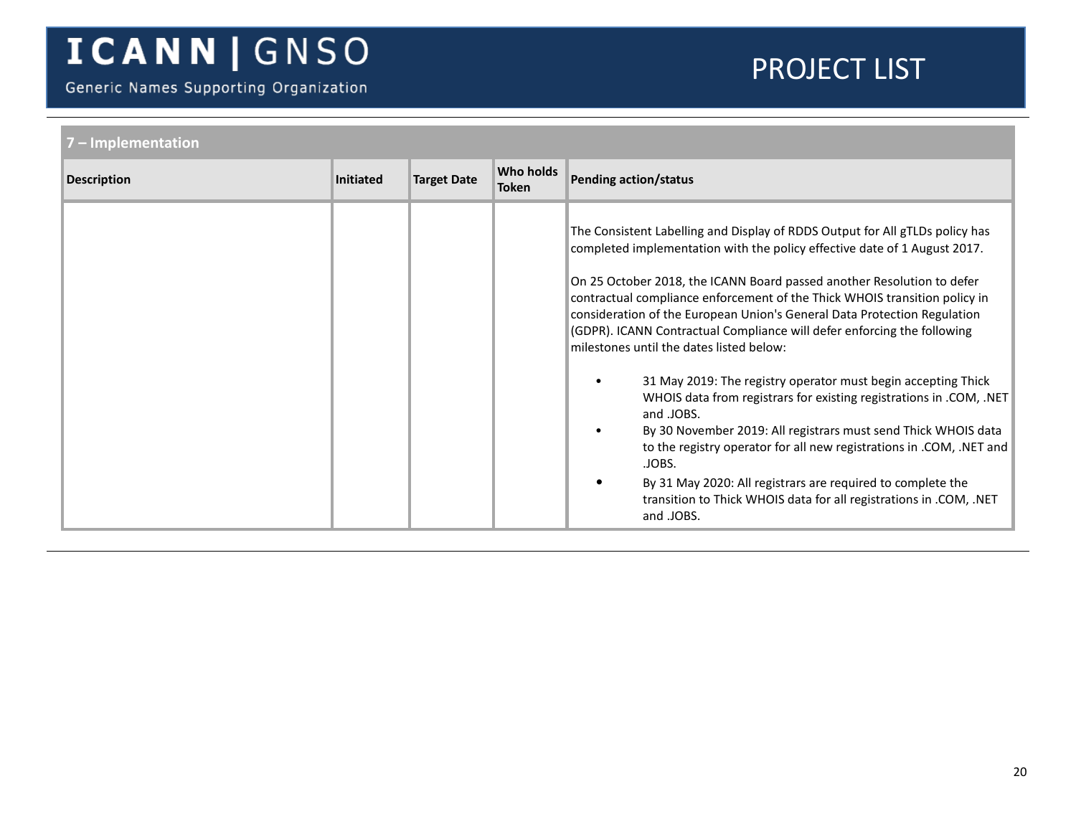Generic Names Supporting Organization

| 7 - Implementation |                  |                    |                           |                                                                                                                                                                                                                                                                                                                                                                                                                                                                                                                                                                                                                                                                                                                                                                                                                                                                                                                                                                                   |
|--------------------|------------------|--------------------|---------------------------|-----------------------------------------------------------------------------------------------------------------------------------------------------------------------------------------------------------------------------------------------------------------------------------------------------------------------------------------------------------------------------------------------------------------------------------------------------------------------------------------------------------------------------------------------------------------------------------------------------------------------------------------------------------------------------------------------------------------------------------------------------------------------------------------------------------------------------------------------------------------------------------------------------------------------------------------------------------------------------------|
| <b>Description</b> | <b>Initiated</b> | <b>Target Date</b> | Who holds<br><b>Token</b> | <b>Pending action/status</b>                                                                                                                                                                                                                                                                                                                                                                                                                                                                                                                                                                                                                                                                                                                                                                                                                                                                                                                                                      |
|                    |                  |                    |                           | The Consistent Labelling and Display of RDDS Output for All gTLDs policy has<br>completed implementation with the policy effective date of 1 August 2017.<br>On 25 October 2018, the ICANN Board passed another Resolution to defer<br>contractual compliance enforcement of the Thick WHOIS transition policy in<br>consideration of the European Union's General Data Protection Regulation<br>(GDPR). ICANN Contractual Compliance will defer enforcing the following<br>milestones until the dates listed below:<br>31 May 2019: The registry operator must begin accepting Thick<br>WHOIS data from registrars for existing registrations in .COM, .NET<br>and .JOBS.<br>By 30 November 2019: All registrars must send Thick WHOIS data<br>to the registry operator for all new registrations in .COM, .NET and<br>.JOBS.<br>By 31 May 2020: All registrars are required to complete the<br>transition to Thick WHOIS data for all registrations in .COM, .NET<br>and .JOBS. |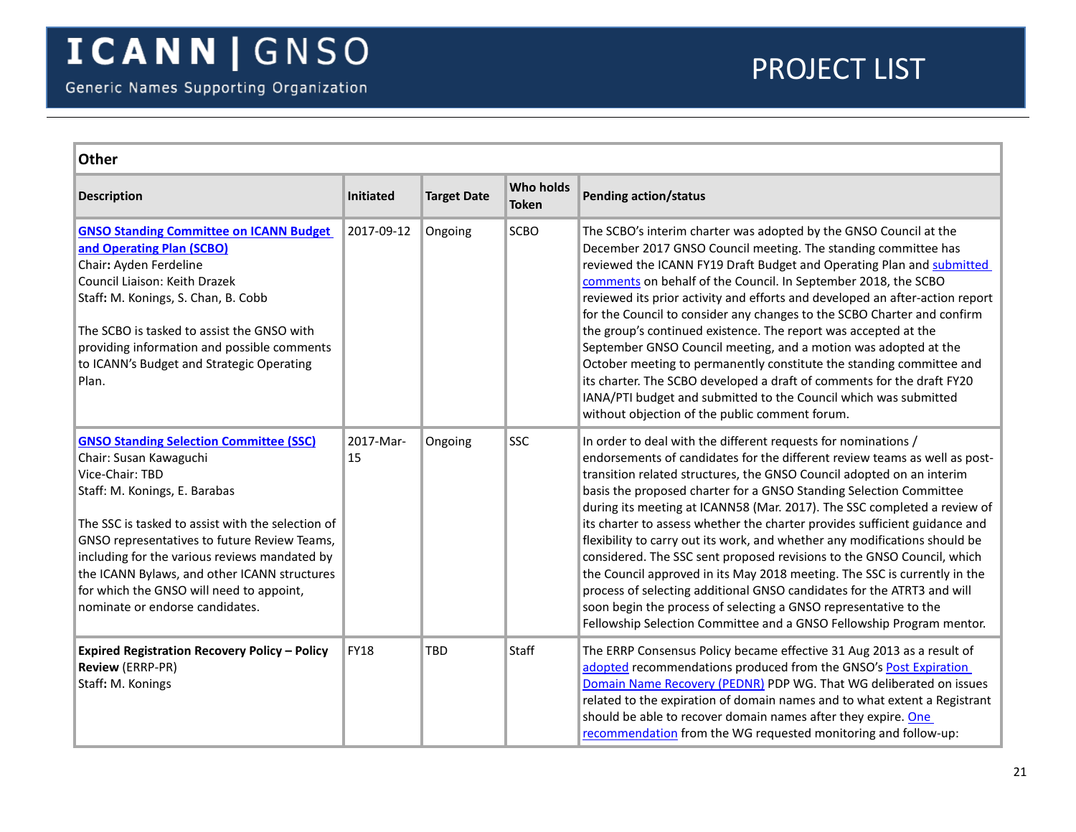<span id="page-20-2"></span><span id="page-20-1"></span><span id="page-20-0"></span>

| <b>Other</b>                                                                                                                                                                                                                                                                                                                                                                                                      |                  |                    |                                  |                                                                                                                                                                                                                                                                                                                                                                                                                                                                                                                                                                                                                                                                                                                                                                                                                                                                                                                  |  |
|-------------------------------------------------------------------------------------------------------------------------------------------------------------------------------------------------------------------------------------------------------------------------------------------------------------------------------------------------------------------------------------------------------------------|------------------|--------------------|----------------------------------|------------------------------------------------------------------------------------------------------------------------------------------------------------------------------------------------------------------------------------------------------------------------------------------------------------------------------------------------------------------------------------------------------------------------------------------------------------------------------------------------------------------------------------------------------------------------------------------------------------------------------------------------------------------------------------------------------------------------------------------------------------------------------------------------------------------------------------------------------------------------------------------------------------------|--|
| <b>Description</b>                                                                                                                                                                                                                                                                                                                                                                                                | <b>Initiated</b> | <b>Target Date</b> | <b>Who holds</b><br><b>Token</b> | <b>Pending action/status</b>                                                                                                                                                                                                                                                                                                                                                                                                                                                                                                                                                                                                                                                                                                                                                                                                                                                                                     |  |
| <b>GNSO Standing Committee on ICANN Budget</b><br>and Operating Plan (SCBO)<br>Chair: Ayden Ferdeline<br>Council Liaison: Keith Drazek<br>Staff: M. Konings, S. Chan, B. Cobb<br>The SCBO is tasked to assist the GNSO with<br>providing information and possible comments<br>to ICANN's Budget and Strategic Operating<br>Plan.                                                                                  | 2017-09-12       | Ongoing            | SCBO                             | The SCBO's interim charter was adopted by the GNSO Council at the<br>December 2017 GNSO Council meeting. The standing committee has<br>reviewed the ICANN FY19 Draft Budget and Operating Plan and submitted<br>comments on behalf of the Council. In September 2018, the SCBO<br>reviewed its prior activity and efforts and developed an after-action report<br>for the Council to consider any changes to the SCBO Charter and confirm<br>the group's continued existence. The report was accepted at the<br>September GNSO Council meeting, and a motion was adopted at the<br>October meeting to permanently constitute the standing committee and<br>its charter. The SCBO developed a draft of comments for the draft FY20<br>IANA/PTI budget and submitted to the Council which was submitted<br>without objection of the public comment forum.                                                          |  |
| <b>GNSO Standing Selection Committee (SSC)</b><br>Chair: Susan Kawaguchi<br>Vice-Chair: TBD<br>Staff: M. Konings, E. Barabas<br>The SSC is tasked to assist with the selection of<br>GNSO representatives to future Review Teams,<br>including for the various reviews mandated by<br>the ICANN Bylaws, and other ICANN structures<br>for which the GNSO will need to appoint,<br>nominate or endorse candidates. | 2017-Mar-<br>15  | Ongoing            | SSC                              | In order to deal with the different requests for nominations /<br>endorsements of candidates for the different review teams as well as post-<br>transition related structures, the GNSO Council adopted on an interim<br>basis the proposed charter for a GNSO Standing Selection Committee<br>during its meeting at ICANN58 (Mar. 2017). The SSC completed a review of<br>its charter to assess whether the charter provides sufficient guidance and<br>flexibility to carry out its work, and whether any modifications should be<br>considered. The SSC sent proposed revisions to the GNSO Council, which<br>the Council approved in its May 2018 meeting. The SSC is currently in the<br>process of selecting additional GNSO candidates for the ATRT3 and will<br>soon begin the process of selecting a GNSO representative to the<br>Fellowship Selection Committee and a GNSO Fellowship Program mentor. |  |
| <b>Expired Registration Recovery Policy - Policy</b><br><b>Review (ERRP-PR)</b><br>Staff: M. Konings                                                                                                                                                                                                                                                                                                              | <b>FY18</b>      | <b>TBD</b>         | Staff                            | The ERRP Consensus Policy became effective 31 Aug 2013 as a result of<br>adopted recommendations produced from the GNSO's Post Expiration<br>Domain Name Recovery (PEDNR) PDP WG. That WG deliberated on issues<br>related to the expiration of domain names and to what extent a Registrant<br>should be able to recover domain names after they expire. One<br>recommendation from the WG requested monitoring and follow-up:                                                                                                                                                                                                                                                                                                                                                                                                                                                                                  |  |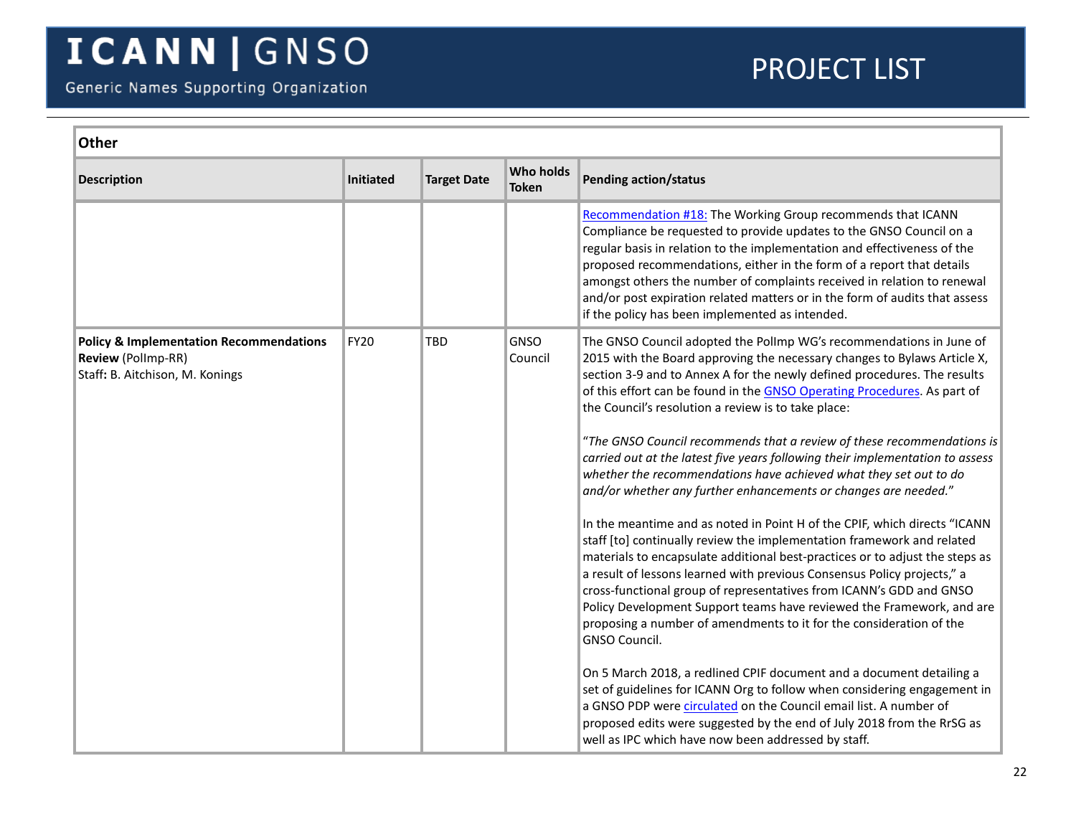<span id="page-21-0"></span>

|                                                                                                                            |                    |                           | <b>Other</b>                                                                                                                                                                                                                                                                                                                                                                                                                                                                                                                                                                                                                                                                                                                                                                                                                                                                                                                                                                                                                                                                                                                                                                                                                                                                                                                                                                                                                                                                                                                   |  |  |  |  |
|----------------------------------------------------------------------------------------------------------------------------|--------------------|---------------------------|--------------------------------------------------------------------------------------------------------------------------------------------------------------------------------------------------------------------------------------------------------------------------------------------------------------------------------------------------------------------------------------------------------------------------------------------------------------------------------------------------------------------------------------------------------------------------------------------------------------------------------------------------------------------------------------------------------------------------------------------------------------------------------------------------------------------------------------------------------------------------------------------------------------------------------------------------------------------------------------------------------------------------------------------------------------------------------------------------------------------------------------------------------------------------------------------------------------------------------------------------------------------------------------------------------------------------------------------------------------------------------------------------------------------------------------------------------------------------------------------------------------------------------|--|--|--|--|
| Initiated<br><b>Description</b>                                                                                            | <b>Target Date</b> | Who holds<br><b>Token</b> | <b>Pending action/status</b>                                                                                                                                                                                                                                                                                                                                                                                                                                                                                                                                                                                                                                                                                                                                                                                                                                                                                                                                                                                                                                                                                                                                                                                                                                                                                                                                                                                                                                                                                                   |  |  |  |  |
|                                                                                                                            |                    |                           | Recommendation #18: The Working Group recommends that ICANN<br>Compliance be requested to provide updates to the GNSO Council on a<br>regular basis in relation to the implementation and effectiveness of the<br>proposed recommendations, either in the form of a report that details<br>amongst others the number of complaints received in relation to renewal<br>and/or post expiration related matters or in the form of audits that assess<br>if the policy has been implemented as intended.                                                                                                                                                                                                                                                                                                                                                                                                                                                                                                                                                                                                                                                                                                                                                                                                                                                                                                                                                                                                                           |  |  |  |  |
| <b>FY20</b><br><b>Policy &amp; Implementation Recommendations</b><br>Review (Pollmp-RR)<br>Staff: B. Aitchison, M. Konings | <b>TBD</b>         | <b>GNSO</b><br>Council    | The GNSO Council adopted the Pollmp WG's recommendations in June of<br>2015 with the Board approving the necessary changes to Bylaws Article X,<br>section 3-9 and to Annex A for the newly defined procedures. The results<br>of this effort can be found in the GNSO Operating Procedures. As part of<br>the Council's resolution a review is to take place:<br>"The GNSO Council recommends that a review of these recommendations is<br>carried out at the latest five years following their implementation to assess<br>whether the recommendations have achieved what they set out to do<br>and/or whether any further enhancements or changes are needed."<br>In the meantime and as noted in Point H of the CPIF, which directs "ICANN<br>staff [to] continually review the implementation framework and related<br>materials to encapsulate additional best-practices or to adjust the steps as<br>a result of lessons learned with previous Consensus Policy projects," a<br>cross-functional group of representatives from ICANN's GDD and GNSO<br>Policy Development Support teams have reviewed the Framework, and are<br>proposing a number of amendments to it for the consideration of the<br>GNSO Council.<br>On 5 March 2018, a redlined CPIF document and a document detailing a<br>set of guidelines for ICANN Org to follow when considering engagement in<br>a GNSO PDP were circulated on the Council email list. A number of<br>proposed edits were suggested by the end of July 2018 from the RrSG as |  |  |  |  |